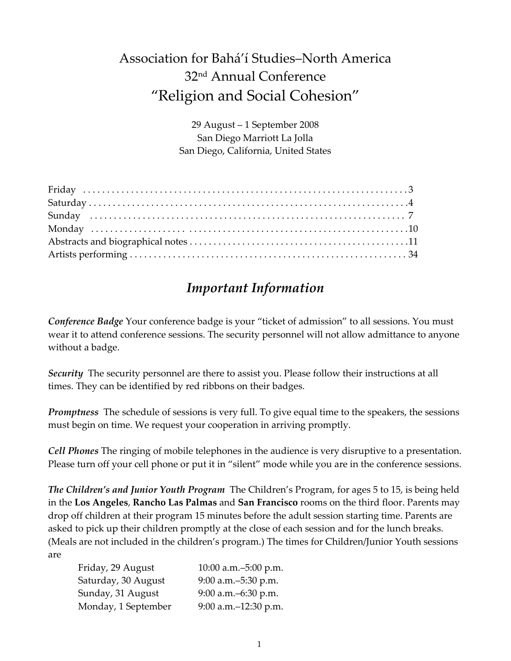# Association for Bahá'í Studies–North America 32nd Annual Conference "Religion and Social Cohesion"

29 August – 1 September 2008 San Diego Marriott La Jolla San Diego, California, United States

## *Important Information*

*Conference Badge* Your conference badge is your "ticket of admission" to all sessions. You must wear it to attend conference sessions. The security personnel will not allow admittance to anyone without a badge.

*Security* The security personnel are there to assist you. Please follow their instructions at all times. They can be identified by red ribbons on their badges.

*Promptness* The schedule of sessions is very full. To give equal time to the speakers, the sessions must begin on time. We request your cooperation in arriving promptly.

*Cell Phones* The ringing of mobile telephones in the audience is very disruptive to a presentation. Please turn off your cell phone or put it in "silent" mode while you are in the conference sessions.

*The Children's and Junior Youth Program* The Children's Program, for ages 5 to 15, is being held in the **Los Angeles**, **Rancho Las Palmas** and **San Francisco** rooms on the third floor. Parents may drop off children at their program 15 minutes before the adult session starting time. Parents are asked to pick up their children promptly at the close of each session and for the lunch breaks. (Meals are not included in the children's program.) The times for Children/Junior Youth sessions are

| Friday, 29 August   | 10:00 a.m.-5:00 p.m.  |
|---------------------|-----------------------|
| Saturday, 30 August | 9:00 a.m. - 5:30 p.m. |
| Sunday, 31 August   | 9:00 a.m. - 6:30 p.m. |
| Monday, 1 September | 9:00 a.m.-12:30 p.m.  |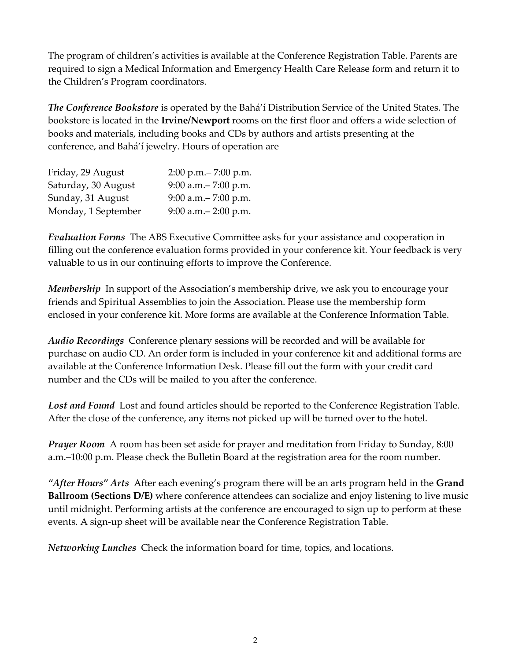The program of children's activities is available at the Conference Registration Table. Parents are required to sign a Medical Information and Emergency Health Care Release form and return it to the Children's Program coordinators.

*The Conference Bookstore* is operated by the Bahá'í Distribution Service of the United States. The bookstore is located in the **Irvine/Newport** rooms on the first floor and offers a wide selection of books and materials, including books and CDs by authors and artists presenting at the conference, and Bahá'í jewelry. Hours of operation are

| Friday, 29 August   | $2:00$ p.m. $- 7:00$ p.m. |
|---------------------|---------------------------|
| Saturday, 30 August | 9:00 a.m. $-7:00$ p.m.    |
| Sunday, 31 August   | 9:00 a.m. $-7:00$ p.m.    |
| Monday, 1 September | 9:00 a.m. - 2:00 p.m.     |

*Evaluation Forms* The ABS Executive Committee asks for your assistance and cooperation in filling out the conference evaluation forms provided in your conference kit. Your feedback is very valuable to us in our continuing efforts to improve the Conference.

*Membership* In support of the Association's membership drive, we ask you to encourage your friends and Spiritual Assemblies to join the Association. Please use the membership form enclosed in your conference kit. More forms are available at the Conference Information Table.

*Audio Recordings* Conference plenary sessions will be recorded and will be available for purchase on audio CD. An order form is included in your conference kit and additional forms are available at the Conference Information Desk. Please fill out the form with your credit card number and the CDs will be mailed to you after the conference.

*Lost and Found* Lost and found articles should be reported to the Conference Registration Table. After the close of the conference, any items not picked up will be turned over to the hotel.

*Prayer Room* A room has been set aside for prayer and meditation from Friday to Sunday, 8:00 a.m.–10:00 p.m. Please check the Bulletin Board at the registration area for the room number.

*"After Hours" Arts* After each evening's program there will be an arts program held in the **Grand Ballroom (Sections D/E)** where conference attendees can socialize and enjoy listening to live music until midnight. Performing artists at the conference are encouraged to sign up to perform at these events. A sign-up sheet will be available near the Conference Registration Table.

*Networking Lunches* Check the information board for time, topics, and locations.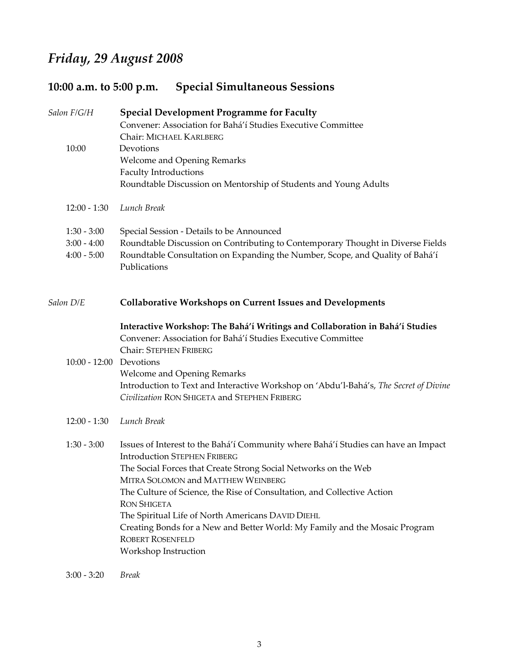# *Friday, 29 August 2008*

# **10:00 a.m. to 5:00 p.m. Special Simultaneous Sessions**

| Salon F/G/H                                     | <b>Special Development Programme for Faculty</b><br>Convener: Association for Bahá'í Studies Executive Committee<br>Chair: MICHAEL KARLBERG                                                                                                                                                                                                                                                                                                                                                                                |
|-------------------------------------------------|----------------------------------------------------------------------------------------------------------------------------------------------------------------------------------------------------------------------------------------------------------------------------------------------------------------------------------------------------------------------------------------------------------------------------------------------------------------------------------------------------------------------------|
| 10:00                                           | Devotions<br>Welcome and Opening Remarks<br><b>Faculty Introductions</b><br>Roundtable Discussion on Mentorship of Students and Young Adults                                                                                                                                                                                                                                                                                                                                                                               |
| $12:00 - 1:30$                                  | Lunch Break                                                                                                                                                                                                                                                                                                                                                                                                                                                                                                                |
| $1:30 - 3:00$<br>$3:00 - 4:00$<br>$4:00 - 5:00$ | Special Session - Details to be Announced<br>Roundtable Discussion on Contributing to Contemporary Thought in Diverse Fields<br>Roundtable Consultation on Expanding the Number, Scope, and Quality of Bahá'í<br>Publications                                                                                                                                                                                                                                                                                              |
| Salon D/E                                       | <b>Collaborative Workshops on Current Issues and Developments</b>                                                                                                                                                                                                                                                                                                                                                                                                                                                          |
| 10:00 - 12:00 Devotions                         | Interactive Workshop: The Bahá'í Writings and Collaboration in Bahá'í Studies<br>Convener: Association for Bahá'í Studies Executive Committee<br>Chair: STEPHEN FRIBERG<br><b>Welcome and Opening Remarks</b><br>Introduction to Text and Interactive Workshop on 'Abdu'l-Bahá's, The Secret of Divine<br>Civilization RON SHIGETA and STEPHEN FRIBERG                                                                                                                                                                     |
| $12:00 - 1:30$                                  | Lunch Break                                                                                                                                                                                                                                                                                                                                                                                                                                                                                                                |
| $1:30 - 3:00$                                   | Issues of Interest to the Bahá'í Community where Bahá'í Studies can have an Impact<br><b>Introduction STEPHEN FRIBERG</b><br>The Social Forces that Create Strong Social Networks on the Web<br>MITRA SOLOMON and MATTHEW WEINBERG<br>The Culture of Science, the Rise of Consultation, and Collective Action<br><b>RON SHIGETA</b><br>The Spiritual Life of North Americans DAVID DIEHL<br>Creating Bonds for a New and Better World: My Family and the Mosaic Program<br><b>ROBERT ROSENFELD</b><br>Workshop Instruction |

3:00 ‐ 3:20 *Break*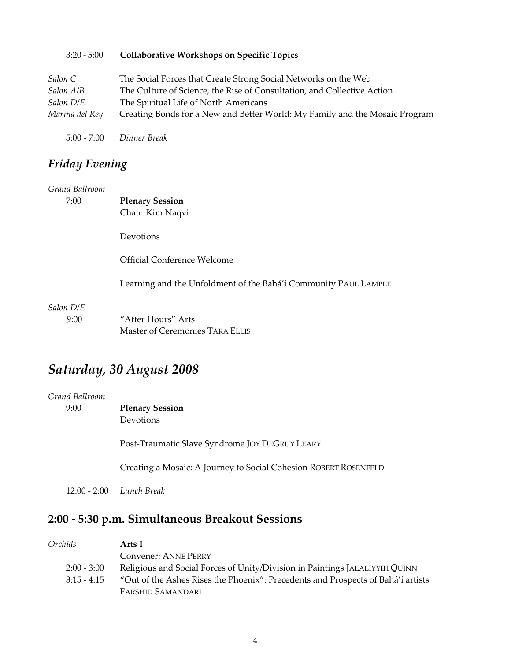| $3:20 - 5:00$  | <b>Collaborative Workshops on Specific Topics</b>                           |
|----------------|-----------------------------------------------------------------------------|
| Salon C        | The Social Forces that Create Strong Social Networks on the Web             |
| Salon A/B      | The Culture of Science, the Rise of Consultation, and Collective Action     |
| Salon D/E      | The Spiritual Life of North Americans                                       |
| Marina del Rey | Creating Bonds for a New and Better World: My Family and the Mosaic Program |
| $5:00 - 7:00$  | Dinner Break                                                                |

*Friday Evening*

| Grand Ballroom |                                                                 |
|----------------|-----------------------------------------------------------------|
| 7:00           | <b>Plenary Session</b>                                          |
|                | Chair: Kim Naqvi                                                |
|                | Devotions                                                       |
|                | Official Conference Welcome                                     |
|                | Learning and the Unfoldment of the Bahá'í Community PAUL LAMPLE |
| Salon D/E      |                                                                 |
| 9:00           | "After Hours" Arts                                              |
|                | Master of Ceremonies TARA ELLIS                                 |

# *Saturday, 30 August 2008*

| <b>Plenary Session</b>                                           |
|------------------------------------------------------------------|
| <b>Devotions</b>                                                 |
| Post-Traumatic Slave Syndrome JOY DEGRUY LEARY                   |
| Creating a Mosaic: A Journey to Social Cohesion ROBERT ROSENFELD |
| $12:00 - 2:00$ Lunch Break                                       |
|                                                                  |

# **2:00 ‐ 5:30 p.m. Simultaneous Breakout Sessions**

| Orchids       | Arts I                                                                           |
|---------------|----------------------------------------------------------------------------------|
|               | <b>Convener: ANNE PERRY</b>                                                      |
| $2:00 - 3:00$ | Religious and Social Forces of Unity/Division in Paintings JALALIYYIH QUINN      |
| $3:15 - 4:15$ | "Out of the Ashes Rises the Phoenix": Precedents and Prospects of Bahá'í artists |
|               | <b>FARSHID SAMANDARI</b>                                                         |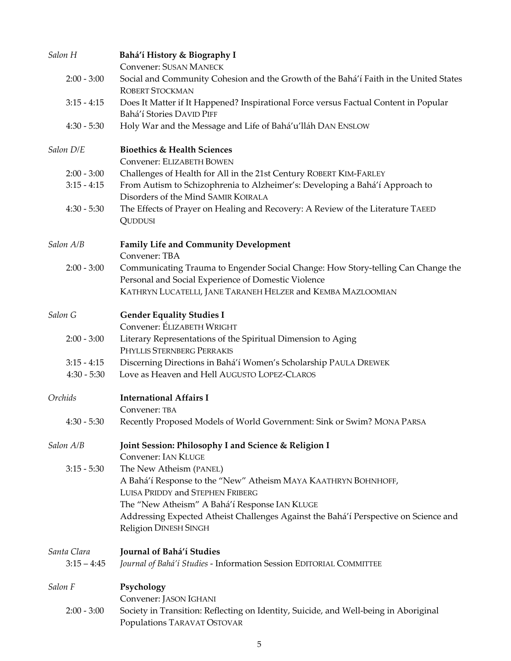| Salon H       | Bahá'í History & Biography I<br><b>Convener: SUSAN MANECK</b>                                                       |
|---------------|---------------------------------------------------------------------------------------------------------------------|
| $2:00 - 3:00$ | Social and Community Cohesion and the Growth of the Bahá'í Faith in the United States<br><b>ROBERT STOCKMAN</b>     |
| $3:15 - 4:15$ | Does It Matter if It Happened? Inspirational Force versus Factual Content in Popular<br>Bahá'í Stories DAVID PIFF   |
| $4:30 - 5:30$ | Holy War and the Message and Life of Bahá'u'lláh DAN ENSLOW                                                         |
| Salon D/E     | <b>Bioethics &amp; Health Sciences</b><br>Convener: ELIZABETH BOWEN                                                 |
| $2:00 - 3:00$ | Challenges of Health for All in the 21st Century ROBERT KIM-FARLEY                                                  |
| $3:15 - 4:15$ | From Autism to Schizophrenia to Alzheimer's: Developing a Bahá'í Approach to                                        |
|               | Disorders of the Mind SAMIR KOIRALA                                                                                 |
| $4:30 - 5:30$ | The Effects of Prayer on Healing and Recovery: A Review of the Literature TAEED<br>QUDDUSI                          |
| Salon A/B     | <b>Family Life and Community Development</b><br>Convener: TBA                                                       |
| $2:00 - 3:00$ | Communicating Trauma to Engender Social Change: How Story-telling Can Change the                                    |
|               | Personal and Social Experience of Domestic Violence                                                                 |
|               | KATHRYN LUCATELLI, JANE TARANEH HELZER and KEMBA MAZLOOMIAN                                                         |
| Salon G       | <b>Gender Equality Studies I</b>                                                                                    |
|               | Convener: ÉLIZABETH WRIGHT                                                                                          |
| $2:00 - 3:00$ | Literary Representations of the Spiritual Dimension to Aging<br>PHYLLIS STERNBERG PERRAKIS                          |
| $3:15 - 4:15$ | Discerning Directions in Bahá'í Women's Scholarship PAULA DREWEK                                                    |
| $4:30 - 5:30$ | Love as Heaven and Hell AUGUSTO LOPEZ-CLAROS                                                                        |
| Orchids       | <b>International Affairs I</b>                                                                                      |
| $4:30 - 5:30$ | Convener: TBA<br>Recently Proposed Models of World Government: Sink or Swim? MONA PARSA                             |
| Salon A/B     | Joint Session: Philosophy I and Science & Religion I                                                                |
|               | <b>Convener: IAN KLUGE</b>                                                                                          |
| $3:15 - 5:30$ | The New Atheism (PANEL)                                                                                             |
|               | A Bahá'í Response to the "New" Atheism MAYA KAATHRYN BOHNHOFF,                                                      |
|               | LUISA PRIDDY and STEPHEN FRIBERG                                                                                    |
|               | The "New Atheism" A Bahá'í Response IAN KLUGE                                                                       |
|               | Addressing Expected Atheist Challenges Against the Bahá'í Perspective on Science and<br>Religion DINESH SINGH       |
| Santa Clara   | Journal of Bahá'í Studies                                                                                           |
| $3:15 - 4:45$ | Journal of Bahá'í Studies - Information Session EDITORIAL COMMITTEE                                                 |
| Salon F       | Psychology                                                                                                          |
|               | Convener: JASON IGHANI                                                                                              |
| $2:00 - 3:00$ | Society in Transition: Reflecting on Identity, Suicide, and Well-being in Aboriginal<br>Populations TARAVAT OSTOVAR |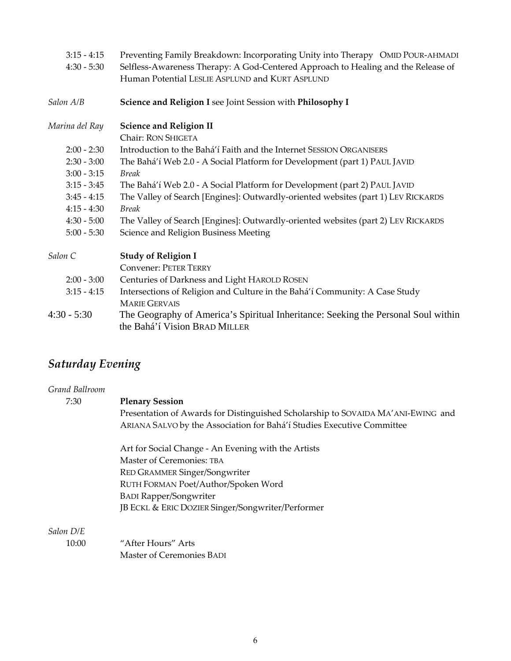| Preventing Family Breakdown: Incorporating Unity into Therapy OMID POUR-AHMADI    |
|-----------------------------------------------------------------------------------|
| Selfless-Awareness Therapy: A God-Centered Approach to Healing and the Release of |
| Human Potential LESLIE ASPLUND and KURT ASPLUND                                   |
| Science and Religion I see Joint Session with Philosophy I                        |
| <b>Science and Religion II</b>                                                    |
| Chair: RON SHIGETA                                                                |
| Introduction to the Bahá'í Faith and the Internet SESSION ORGANISERS              |
| The Bahá'í Web 2.0 - A Social Platform for Development (part 1) PAUL JAVID        |
| <b>Break</b>                                                                      |
| The Bahá'í Web 2.0 - A Social Platform for Development (part 2) PAUL JAVID        |
| The Valley of Search [Engines]: Outwardly-oriented websites (part 1) LEV RICKARDS |
| <b>Break</b>                                                                      |
| The Valley of Search [Engines]: Outwardly-oriented websites (part 2) LEV RICKARDS |
| Science and Religion Business Meeting                                             |
| <b>Study of Religion I</b>                                                        |
| <b>Convener: PETER TERRY</b>                                                      |
| Centuries of Darkness and Light HAROLD ROSEN                                      |
| Intersections of Religion and Culture in the Bahá'í Community: A Case Study       |
| <b>MARIE GERVAIS</b>                                                              |
|                                                                                   |

4:30 - 5:30 The Geography of America's Spiritual Inheritance: Seeking the Personal Soul within the Bahá'í Vision BRAD MILLER

# *Saturday Evening*

| Grand Ballroom |                                                                                  |  |
|----------------|----------------------------------------------------------------------------------|--|
| 7:30           | <b>Plenary Session</b>                                                           |  |
|                | Presentation of Awards for Distinguished Scholarship to SOVAIDA MA'ANI-EWING and |  |
|                | ARIANA SALVO by the Association for Bahá'í Studies Executive Committee           |  |
|                | Art for Social Change - An Evening with the Artists                              |  |
|                | Master of Ceremonies: TBA                                                        |  |
|                | <b>RED GRAMMER Singer/Songwriter</b>                                             |  |
|                | RUTH FORMAN Poet/Author/Spoken Word                                              |  |
|                | <b>BADI Rapper/Songwriter</b>                                                    |  |
|                | JB ECKL & ERIC DOZIER Singer/Songwriter/Performer                                |  |
| Salon D/E      |                                                                                  |  |
| 10:00          | "After Hours" Arts                                                               |  |
|                | Master of Ceremonies BADI                                                        |  |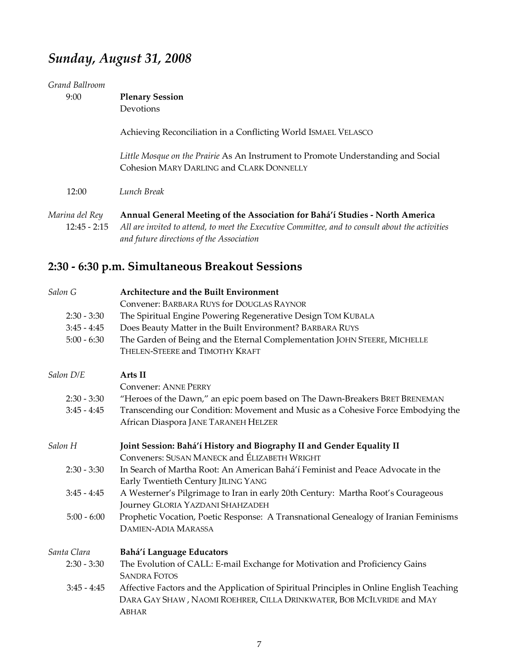# *Sunday, August 31, 2008*

| Grand Ballroom<br>9:00           | <b>Plenary Session</b><br>Devotions                                                                                                                                                                                         |
|----------------------------------|-----------------------------------------------------------------------------------------------------------------------------------------------------------------------------------------------------------------------------|
|                                  | Achieving Reconciliation in a Conflicting World ISMAEL VELASCO                                                                                                                                                              |
|                                  | Little Mosque on the Prairie As An Instrument to Promote Understanding and Social<br><b>Cohesion MARY DARLING and CLARK DONNELLY</b>                                                                                        |
| 12:00                            | Lunch Break                                                                                                                                                                                                                 |
| Marina del Rey<br>$12:45 - 2:15$ | Annual General Meeting of the Association for Bahá'í Studies - North America<br>All are invited to attend, to meet the Executive Committee, and to consult about the activities<br>and future directions of the Association |

# **2:30 ‐ 6:30 p.m. Simultaneous Breakout Sessions**

| Salon G       | <b>Architecture and the Built Environment</b>                                            |
|---------------|------------------------------------------------------------------------------------------|
|               | Convener: BARBARA RUYS for DOUGLAS RAYNOR                                                |
| $2:30 - 3:30$ | The Spiritual Engine Powering Regenerative Design TOM KUBALA                             |
| $3:45 - 4:45$ | Does Beauty Matter in the Built Environment? BARBARA RUYS                                |
| $5:00 - 6:30$ | The Garden of Being and the Eternal Complementation JOHN STEERE, MICHELLE                |
|               | THELEN-STEERE and TIMOTHY KRAFT                                                          |
| Salon D/E     | Arts II                                                                                  |
|               | <b>Convener: ANNE PERRY</b>                                                              |
| $2:30 - 3:30$ | "Heroes of the Dawn," an epic poem based on The Dawn-Breakers BRET BRENEMAN              |
| $3:45 - 4:45$ | Transcending our Condition: Movement and Music as a Cohesive Force Embodying the         |
|               | African Diaspora JANE TARANEH HELZER                                                     |
| Salon H       | Joint Session: Bahá'í History and Biography II and Gender Equality II                    |
|               | Conveners: SUSAN MANECK and ÉLIZABETH WRIGHT                                             |
| $2:30 - 3:30$ | In Search of Martha Root: An American Bahá'í Feminist and Peace Advocate in the          |
|               | Early Twentieth Century JILING YANG                                                      |
| $3:45 - 4:45$ | A Westerner's Pilgrimage to Iran in early 20th Century: Martha Root's Courageous         |
|               | Journey GLORIA YAZDANI SHAHZADEH                                                         |
| $5:00 - 6:00$ | Prophetic Vocation, Poetic Response: A Transnational Genealogy of Iranian Feminisms      |
|               | <b>DAMIEN-ADIA MARASSA</b>                                                               |
| Santa Clara   | Bahá'í Language Educators                                                                |
| $2:30 - 3:30$ | The Evolution of CALL: E-mail Exchange for Motivation and Proficiency Gains              |
|               | <b>SANDRA FOTOS</b>                                                                      |
| $3:45 - 4:45$ | Affective Factors and the Application of Spiritual Principles in Online English Teaching |
|               | DARA GAY SHAW, NAOMI ROEHRER, CILLA DRINKWATER, BOB MCILVRIDE and MAY                    |
|               | ABHAR                                                                                    |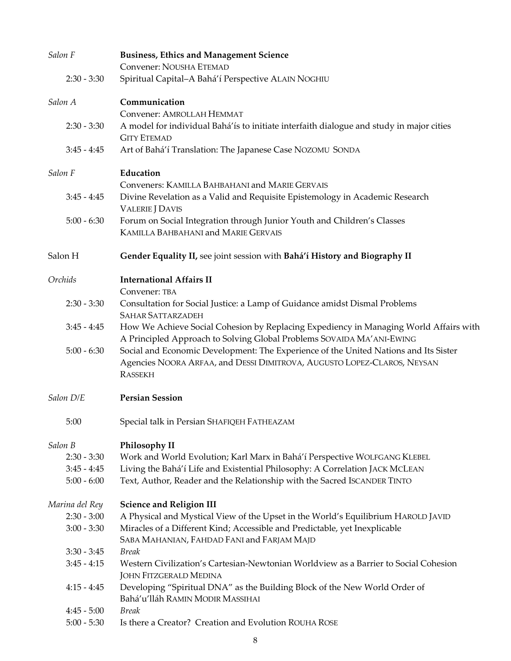| Salon F        | <b>Business, Ethics and Management Science</b><br>Convener: NOUSHA ETEMAD                |
|----------------|------------------------------------------------------------------------------------------|
| $2:30 - 3:30$  |                                                                                          |
|                | Spiritual Capital-A Bahá'í Perspective ALAIN NOGHIU                                      |
| Salon A        | Communication                                                                            |
|                | Convener: AMROLLAH HEMMAT                                                                |
| $2:30 - 3:30$  | A model for individual Bahá'ís to initiate interfaith dialogue and study in major cities |
|                | <b>GITY ETEMAD</b>                                                                       |
| $3:45 - 4:45$  | Art of Bahá'í Translation: The Japanese Case NOZOMU SONDA                                |
| Salon F        | Education                                                                                |
|                | Conveners: KAMILLA BAHBAHANI and MARIE GERVAIS                                           |
| $3:45 - 4:45$  | Divine Revelation as a Valid and Requisite Epistemology in Academic Research             |
|                | <b>VALERIE J DAVIS</b>                                                                   |
| $5:00 - 6:30$  | Forum on Social Integration through Junior Youth and Children's Classes                  |
|                | <b>KAMILLA BAHBAHANI and MARIE GERVAIS</b>                                               |
| Salon H        | Gender Equality II, see joint session with Bahá'í History and Biography II               |
| Orchids        | <b>International Affairs II</b>                                                          |
|                | Convener: TBA                                                                            |
| $2:30 - 3:30$  | Consultation for Social Justice: a Lamp of Guidance amidst Dismal Problems               |
|                | <b>SAHAR SATTARZADEH</b>                                                                 |
| $3:45 - 4:45$  | How We Achieve Social Cohesion by Replacing Expediency in Managing World Affairs with    |
|                | A Principled Approach to Solving Global Problems SOVAIDA MA' ANI-EWING                   |
| $5:00 - 6:30$  | Social and Economic Development: The Experience of the United Nations and Its Sister     |
|                | Agencies NOORA ARFAA, and DESSI DIMITROVA, AUGUSTO LOPEZ-CLAROS, NEYSAN                  |
|                | <b>RASSEKH</b>                                                                           |
| Salon D/E      | <b>Persian Session</b>                                                                   |
| 5:00           | Special talk in Persian SHAFIQEH FATHEAZAM                                               |
| Salon B        | Philosophy II                                                                            |
| $2:30 - 3:30$  | Work and World Evolution; Karl Marx in Bahá'í Perspective WOLFGANG KLEBEL                |
| $3:45 - 4:45$  | Living the Bahá'í Life and Existential Philosophy: A Correlation JACK MCLEAN             |
| $5:00 - 6:00$  | Text, Author, Reader and the Relationship with the Sacred ISCANDER TINTO                 |
| Marina del Rey | <b>Science and Religion III</b>                                                          |
| $2:30 - 3:00$  | A Physical and Mystical View of the Upset in the World's Equilibrium HAROLD JAVID        |
| $3:00 - 3:30$  | Miracles of a Different Kind; Accessible and Predictable, yet Inexplicable               |
|                | SABA MAHANIAN, FAHDAD FANI and FARJAM MAJD                                               |
| $3:30 - 3:45$  | <b>Break</b>                                                                             |
| $3:45 - 4:15$  | Western Civilization's Cartesian-Newtonian Worldview as a Barrier to Social Cohesion     |
|                | <b>JOHN FITZGERALD MEDINA</b>                                                            |
| $4:15 - 4:45$  | Developing "Spiritual DNA" as the Building Block of the New World Order of               |
|                | Bahá'u'lláh RAMIN MODIR MASSIHAI                                                         |
| $4:45 - 5:00$  | <b>Break</b>                                                                             |
| $5:00 - 5:30$  | Is there a Creator? Creation and Evolution ROUHA ROSE                                    |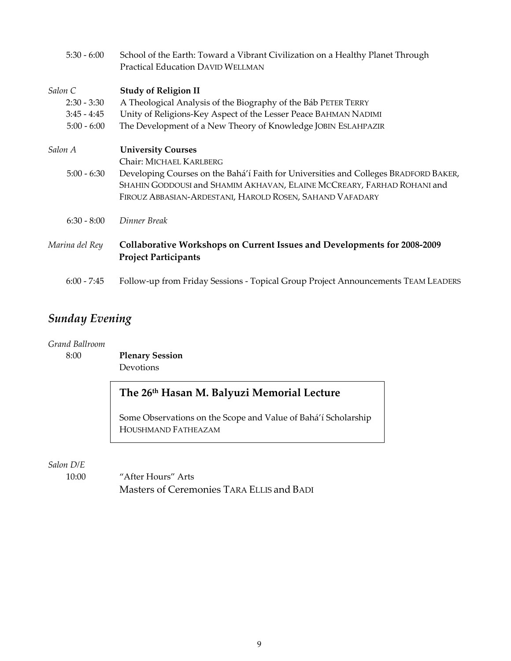| $5:30 - 6:00$  | School of the Earth: Toward a Vibrant Civilization on a Healthy Planet Through<br><b>Practical Education DAVID WELLMAN</b>                                                                                                 |
|----------------|----------------------------------------------------------------------------------------------------------------------------------------------------------------------------------------------------------------------------|
| Salon C        | <b>Study of Religion II</b>                                                                                                                                                                                                |
| $2:30 - 3:30$  | A Theological Analysis of the Biography of the Báb PETER TERRY                                                                                                                                                             |
| $3:45 - 4:45$  | Unity of Religions-Key Aspect of the Lesser Peace BAHMAN NADIMI                                                                                                                                                            |
| $5:00 - 6:00$  | The Development of a New Theory of Knowledge JOBIN ESLAHPAZIR                                                                                                                                                              |
| Salon A        | <b>University Courses</b>                                                                                                                                                                                                  |
|                | Chair: MICHAEL KARLBERG                                                                                                                                                                                                    |
| $5:00 - 6:30$  | Developing Courses on the Bahá'í Faith for Universities and Colleges BRADFORD BAKER,<br>SHAHIN GODDOUSI and SHAMIM AKHAVAN, ELAINE MCCREARY, FARHAD ROHANI and<br>FIROUZ ABBASIAN-ARDESTANI, HAROLD ROSEN, SAHAND VAFADARY |
| $6:30 - 8:00$  | Dinner Break                                                                                                                                                                                                               |
| Marina del Rey | <b>Collaborative Workshops on Current Issues and Developments for 2008-2009</b><br><b>Project Participants</b>                                                                                                             |
| $6:00 - 7:45$  | Follow-up from Friday Sessions - Topical Group Project Announcements TEAM LEADERS                                                                                                                                          |

## *Sunday Evening*

*Grand Ballroom*

8:00 **Plenary Session** Devotions

## **The 26th Hasan M. Balyuzi Memorial Lecture**

 Some Observations on the Scope and Value of Bahá'í Scholarship HOUSHMAND FATHEAZAM

*Salon D/E*

10:00 "After Hours" Arts Masters of Ceremonies TARA ELLIS and BADI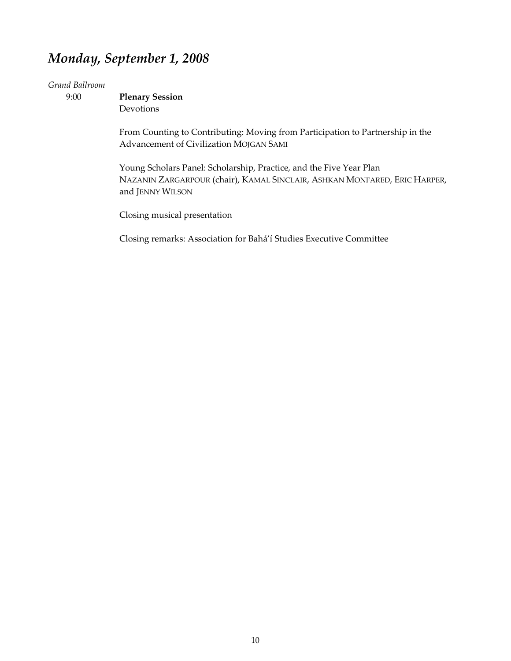## *Monday, September 1, 2008*

#### *Grand Ballroom*

 9:00 **Plenary Session** Devotions

> From Counting to Contributing: Moving from Participation to Partnership in the Advancement of Civilization MOJGAN SAMI

Young Scholars Panel: Scholarship, Practice, and the Five Year Plan NAZANIN ZARGARPOUR (chair), KAMAL SINCLAIR, ASHKAN MONFARED, ERIC HARPER, and JENNY WILSON

Closing musical presentation

Closing remarks: Association for Bahá'í Studies Executive Committee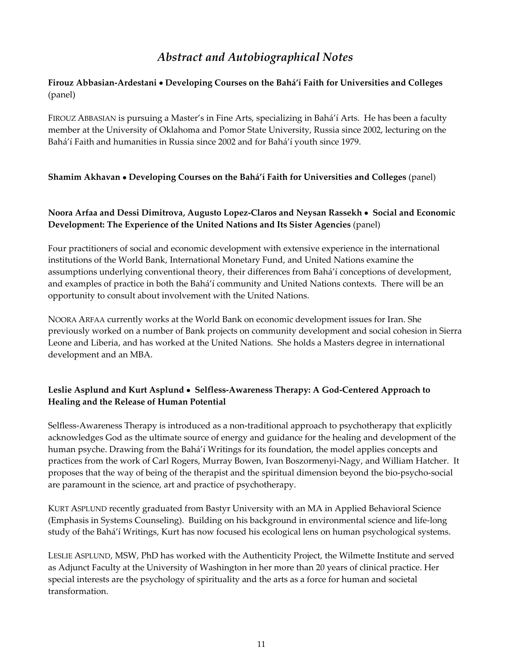## *Abstract and Autobiographical Notes*

## **Firouz Abbasian‐Ardestani** • **Developing Courses on the Bahá'í Faith for Universities and Colleges** (panel)

FIROUZ ABBASIAN is pursuing a Master's in Fine Arts, specializing in Bahá'í Arts. He has been a faculty member at the University of Oklahoma and Pomor State University, Russia since 2002, lecturing on the Bahá'í Faith and humanities in Russia since 2002 and for Bahá'í youth since 1979.

#### **Shamim Akhavan** • **Developing Courses on the Bahá'í Faith for Universities and Colleges** (panel)

#### **Noora Arfaa and Dessi Dimitrova' Augusto Lopez‐Claros and Neysan Rassekh** • **Social and Economic Development: The Experience of the United Nations and Its Sister Agencies** (panel)

Four practitioners of social and economic development with extensive experience in the international institutions of the World Bank, International Monetary Fund, and United Nations examine the assumptions underlying conventional theory, their differences from Bahá'í conceptions of development, and examples of practice in both the Bahá'í community and United Nations contexts. There will be an opportunity to consult about involvement with the United Nations.

NOORA ARFAA currently works at the World Bank on economic development issues for Iran. She previously worked on a number of Bank projects on community development and social cohesion in Sierra Leone and Liberia, and has worked at the United Nations. She holds a Masters degree in international development and an MBA.

## **Leslie Asplund and Kurt Asplund** • **Selfless‐Awareness Therapy: A God‐Centered Approach to Healing and the Release of Human Potential**

Selfless-Awareness Therapy is introduced as a non-traditional approach to psychotherapy that explicitly acknowledges God as the ultimate source of energy and guidance for the healing and development of the human psyche. Drawing from the Bahá'í Writings for its foundation, the model applies concepts and practices from the work of Carl Rogers, Murray Bowen, Ivan Boszormenyi-Nagy, and William Hatcher. It proposes that the way of being of the therapist and the spiritual dimension beyond the bio‐psycho‐social are paramount in the science, art and practice of psychotherapy.

KURT ASPLUND recently graduated from Bastyr University with an MA in Applied Behavioral Science (Emphasis in Systems Counseling). Building on his background in environmental science and life‐long study of the Bahá'í Writings, Kurt has now focused his ecological lens on human psychological systems.

LESLIE ASPLUND, MSW, PhD has worked with the Authenticity Project, the Wilmette Institute and served as Adjunct Faculty at the University of Washington in her more than 20 years of clinical practice. Her special interests are the psychology of spirituality and the arts as a force for human and societal transformation.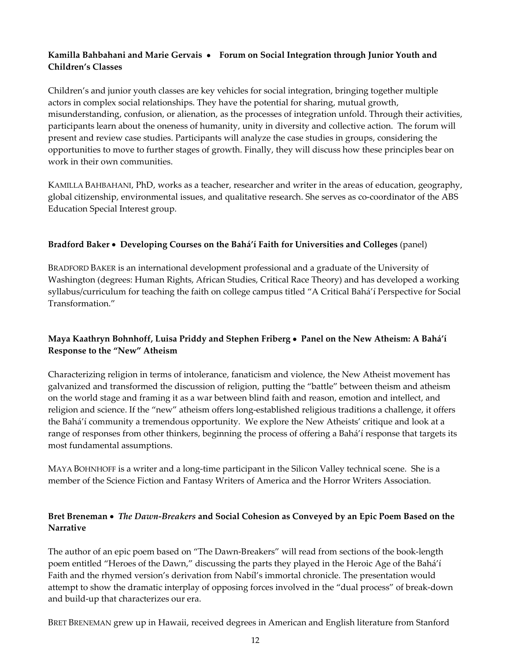## **Kamilla Bahbahani and Marie Gervais** • **Forum on Social Integration through Junior Youth and Children's Classes**

Children's and junior youth classes are key vehicles for social integration, bringing together multiple actors in complex social relationships. They have the potential for sharing, mutual growth, misunderstanding, confusion, or alienation, as the processes of integration unfold. Through their activities, participants learn about the oneness of humanity, unity in diversity and collective action. The forum will present and review case studies. Participants will analyze the case studies in groups, considering the opportunities to move to further stages of growth. Finally' they will discuss how these principles bear on work in their own communities.

KAMILLA BAHBAHANI, PhD, works as a teacher, researcher and writer in the areas of education, geography, global citizenship, environmental issues, and qualitative research. She serves as co-coordinator of the ABS Education Special Interest group.

#### **Bradford Baker** • **Developing Courses on the Bahá'í Faith for Universities and Colleges** (panel)

BRADFORD BAKER is an international development professional and a graduate of the University of Washington (degrees: Human Rights, African Studies, Critical Race Theory) and has developed a working syllabus/curriculum for teaching the faith on college campus titled "A Critical Bahá'í Perspective for Social Transformation."

## **Maya Kaathryn Bohnhoff' Luisa Priddy and Stephen Friberg** • **Panel on the New Atheism: A Bahá'í Response to the "New" Atheism**

Characterizing religion in terms of intolerance, fanaticism and violence, the New Atheist movement has galvanized and transformed the discussion of religion, putting the "battle" between theism and atheism on the world stage and framing it as a war between blind faith and reason, emotion and intellect, and religion and science. If the "new" atheism offers long-established religious traditions a challenge, it offers the Bahá'í community a tremendous opportunity. We explore the New Atheists' critique and look at a range of responses from other thinkers, beginning the process of offering a Bahá'í response that targets its most fundamental assumptions.

MAYA BOHNHOFF is a writer and a long‐time participant in the Silicon Valley technical scene. She is a member of the Science Fiction and Fantasy Writers of America and the Horror Writers Association.

## **Bret Breneman** • *The Dawn‐Breakers* **and Social Cohesion as Conveyed by an Epic Poem Based on the Narrative**

The author of an epic poem based on "The Dawn-Breakers" will read from sections of the book-length poem entitled "Heroes of the Dawn'" discussing the parts they played in the Heroic Age of the Bahá'í Faith and the rhymed version's derivation from Nabíl's immortal chronicle. The presentation would attempt to show the dramatic interplay of opposing forces involved in the "dual process" of break‐down and build‐up that characterizes our era.

BRET BRENEMAN grew up in Hawaii, received degrees in American and English literature from Stanford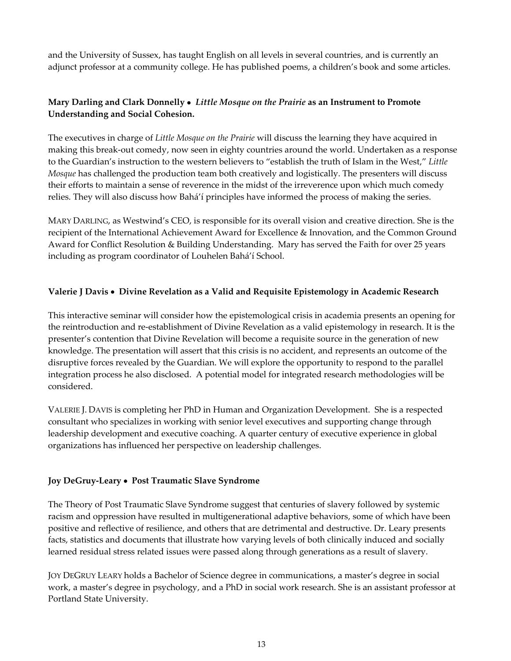and the University of Sussex, has taught English on all levels in several countries, and is currently an adjunct professor at a community college. He has published poems, a children's book and some articles.

## **Mary Darling and Clark Donnelly** • *Little Mosque on the Prairie* **as an Instrument to Promote Understanding and Social Cohesion.**

The executives in charge of *Little Mosque on the Prairie* will discuss the learning they have acquired in making this break-out comedy, now seen in eighty countries around the world. Undertaken as a response to the Guardian's instruction to the western believers to "establish the truth of Islam in the West'" *Little Mosque* has challenged the production team both creatively and logistically. The presenters will discuss their efforts to maintain a sense of reverence in the midst of the irreverence upon which much comedy relies. They will also discuss how Bahá'í principles have informed the process of making the series.

MARY DARLING, as Westwind's CEO, is responsible for its overall vision and creative direction. She is the recipient of the International Achievement Award for Excellence & Innovation, and the Common Ground Award for Conflict Resolution & Building Understanding. Mary has served the Faith for over 25 years including as program coordinator of Louhelen Bahá'í School.

## **Valerie J Davis** • **Divine Revelation as a Valid and Requisite Epistemology in Academic Research**

This interactive seminar will consider how the epistemological crisis in academia presents an opening for the reintroduction and re‐establishment of Divine Revelation as a valid epistemology in research. It is the presenter's contention that Divine Revelation will become a requisite source in the generation of new knowledge. The presentation will assert that this crisis is no accident, and represents an outcome of the disruptive forces revealed by the Guardian. We will explore the opportunity to respond to the parallel integration process he also disclosed. A potential model for integrated research methodologies will be considered.

VALERIE J. DAVIS is completing her PhD in Human and Organization Development. She is a respected consultant who specializes in working with senior level executives and supporting change through leadership development and executive coaching. A quarter century of executive experience in global organizations has influenced her perspective on leadership challenges.

#### **Joy DeGruy‐Leary** • **Post Traumatic Slave Syndrome**

The Theory of Post Traumatic Slave Syndrome suggest that centuries of slavery followed by systemic racism and oppression have resulted in multigenerational adaptive behaviors, some of which have been positive and reflective of resilience, and others that are detrimental and destructive. Dr. Leary presents facts, statistics and documents that illustrate how varying levels of both clinically induced and socially learned residual stress related issues were passed along through generations as a result of slavery.

JOY DEGRUY LEARY holds a Bachelor of Science degree in communications, a master's degree in social work, a master's degree in psychology, and a PhD in social work research. She is an assistant professor at Portland State University.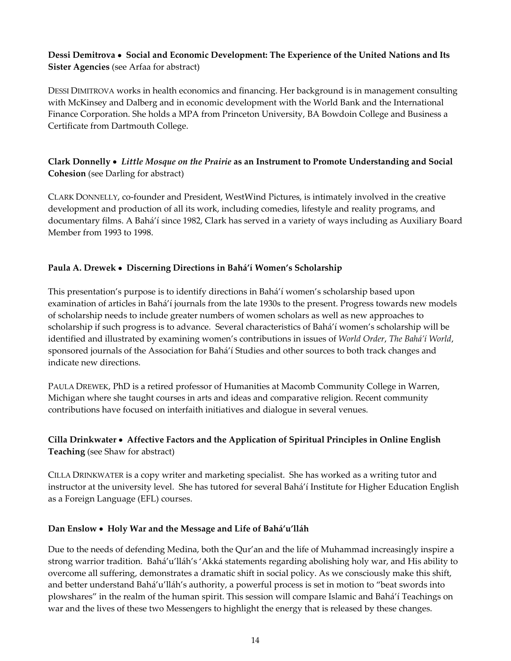## **Dessi Demitrova** • **Social and Economic Development: The Experience of the United Nations and Its Sister Agencies** (see Arfaa for abstract)

DESSI DIMITROVA works in health economics and financing. Her background is in management consulting with McKinsey and Dalberg and in economic development with the World Bank and the International Finance Corporation. She holds a MPA from Princeton University, BA Bowdoin College and Business a Certificate from Dartmouth College.

## **Clark Donnelly** • *Little Mosque on the Prairie* **as an Instrument to Promote Understanding and Social Cohesion** (see Darling for abstract)

CLARK DONNELLY, co‐founder and President, WestWind Pictures, is intimately involved in the creative development and production of all its work, including comedies, lifestyle and reality programs, and documentary films. A Bahá'í since 1982, Clark has served in a variety of ways including as Auxiliary Board Member from 1993 to 1998.

## **Paula A. Drewek** • **Discerning Directions in Bahá'í Women's Scholarship**

This presentation's purpose is to identify directions in Bahá'í women's scholarship based upon examination of articles in Bahá'í journals from the late 1930s to the present. Progress towards new models of scholarship needs to include greater numbers of women scholars as well as new approaches to scholarship if such progress is to advance. Several characteristics of Bahá'í women's scholarship will be identified and illustrated by examining women's contributions in issues of *World Order*' *The Bahá'í World*' sponsored journals of the Association for Bahá'í Studies and other sources to both track changes and indicate new directions.

PAULA DREWEK, PhD is a retired professor of Humanities at Macomb Community College in Warren, Michigan where she taught courses in arts and ideas and comparative religion. Recent community contributions have focused on interfaith initiatives and dialogue in several venues.

## **Cilla Drinkwater** • **Affective Factors and the Application of Spiritual Principles in Online English Teaching** (see Shaw for abstract)

CILLA DRINKWATER is a copy writer and marketing specialist. She has worked as a writing tutor and instructor at the university level. She has tutored for several Bahá'í Institute for Higher Education English as a Foreign Language (EFL) courses.

#### **Dan Enslow** • **Holy War and the Message and Life of Bahá'u'lláh**

Due to the needs of defending Medina, both the Qur'an and the life of Muhammad increasingly inspire a strong warrior tradition. Bahá'u'lláh's 'Akká statements regarding abolishing holy war, and His ability to overcome all suffering, demonstrates a dramatic shift in social policy. As we consciously make this shift, and better understand Bahá'u'lláh's authority, a powerful process is set in motion to "beat swords into plowshares" in the realm of the human spirit. This session will compare Islamic and Bahá'í Teachings on war and the lives of these two Messengers to highlight the energy that is released by these changes.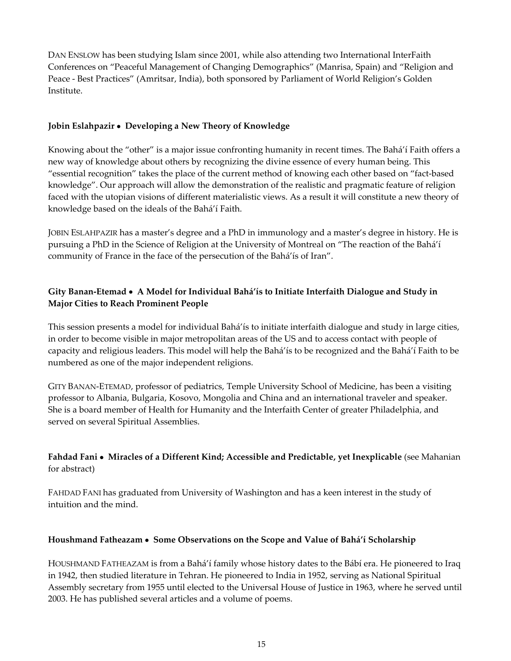DAN ENSLOW has been studying Islam since 2001, while also attending two International InterFaith Conferences on "Peaceful Management of Changing Demographics" (Manrisa, Spain) and "Religion and Peace - Best Practices" (Amritsar, India), both sponsored by Parliament of World Religion's Golden Institute.

## **Jobin Eslahpazir** • **Developing a New Theory of Knowledge**

Knowing about the "other" is a major issue confronting humanity in recent times. The Bahá'í Faith offers a new way of knowledge about others by recognizing the divine essence of every human being. This "essential recognition" takes the place of the current method of knowing each other based on "fact‐based knowledge". Our approach will allow the demonstration of the realistic and pragmatic feature of religion faced with the utopian visions of different materialistic views. As a result it will constitute a new theory of knowledge based on the ideals of the Bahá'í Faith.

JOBIN ESLAHPAZIR has a master's degree and a PhD in immunology and a master's degree in history. He is pursuing a PhD in the Science of Religion at the University of Montreal on "The reaction of the Bahá'í community of France in the face of the persecution of the Bahá'ís of Iran".

## **Gity Banan‐Etemad** • **A Model for Individual Bahá'ís to Initiate Interfaith Dialogue and Study in Major Cities to Reach Prominent People**

This session presents a model for individual Bahá'ís to initiate interfaith dialogue and study in large cities, in order to become visible in major metropolitan areas of the US and to access contact with people of capacity and religious leaders. This model will help the Bahá'ís to be recognized and the Bahá'í Faith to be numbered as one of the major independent religions.

GITY BANAN-ETEMAD, professor of pediatrics, Temple University School of Medicine, has been a visiting professor to Albania, Bulgaria, Kosovo, Mongolia and China and an international traveler and speaker. She is a board member of Health for Humanity and the Interfaith Center of greater Philadelphia, and served on several Spiritual Assemblies.

## **Fahdad Fani** • **Miracles of a Different Kind; Accessible and Predictable' yet Inexplicable** (see Mahanian for abstract)

FAHDAD FANI has graduated from University of Washington and has a keen interest in the study of intuition and the mind.

#### **Houshmand Fatheazam** • **Some Observations on the Scope and Value of Bahá'í Scholarship**

HOUSHMAND FATHEAZAM is from a Bahá'í family whose history dates to the Bábí era. He pioneered to Iraq in 1942, then studied literature in Tehran. He pioneered to India in 1952, serving as National Spiritual Assembly secretary from 1955 until elected to the Universal House of Justice in 1963, where he served until 2003. He has published several articles and a volume of poems.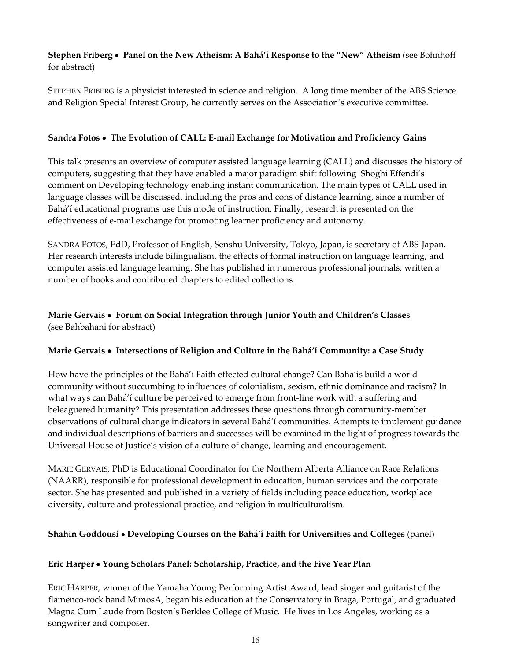## **Stephen Friberg** • **Panel on the New Atheism: A Bahá'í Response to the "New" Atheism** (see Bohnhoff for abstract)

STEPHEN FRIBERG is a physicist interested in science and religion. A long time member of the ABS Science and Religion Special Interest Group, he currently serves on the Association's executive committee.

### **Sandra Fotos** • **The Evolution of CALL: E‐mail Exchange for Motivation and Proficiency Gains**

This talk presents an overview of computer assisted language learning (CALL) and discusses the history of computers, suggesting that they have enabled a major paradigm shift following Shoghi Effendi's comment on Developing technology enabling instant communication. The main types of CALL used in language classes will be discussed, including the pros and cons of distance learning, since a number of Bahá'í educational programs use this mode of instruction. Finally, research is presented on the effectiveness of e‐mail exchange for promoting learner proficiency and autonomy.

SANDRA FOTOS, EdD, Professor of English, Senshu University, Tokyo, Japan, is secretary of ABS-Japan. Her research interests include bilingualism, the effects of formal instruction on language learning, and computer assisted language learning. She has published in numerous professional journals, written a number of books and contributed chapters to edited collections.

## **Marie Gervais** • **Forum on Social Integration through Junior Youth and Children's Classes** (see Bahbahani for abstract)

## **Marie Gervais** • **Intersections of Religion and Culture in the Bahá'í Community: a Case Study**

How have the principles of the Bahá'í Faith effected cultural change? Can Bahá'ís build a world community without succumbing to influences of colonialism, sexism, ethnic dominance and racism? In what ways can Bahá'í culture be perceived to emerge from front-line work with a suffering and beleaguered humanity? This presentation addresses these questions through community-member observations of cultural change indicators in several Bahá'í communities. Attempts to implement guidance and individual descriptions of barriers and successes will be examined in the light of progress towards the Universal House of Justice's vision of a culture of change, learning and encouragement.

MARIE GERVAIS, PhD is Educational Coordinator for the Northern Alberta Alliance on Race Relations (NAARR), responsible for professional development in education, human services and the corporate sector. She has presented and published in a variety of fields including peace education, workplace diversity, culture and professional practice, and religion in multiculturalism.

#### **Shahin Goddousi** • **Developing Courses on the Bahá'í Faith for Universities and Colleges** (panel)

#### **Eric Harper** • **Young Scholars Panel: Scholarship, Practice, and the Five Year Plan**

ERIC HARPER, winner of the Yamaha Young Performing Artist Award, lead singer and guitarist of the flamenco-rock band MimosA, began his education at the Conservatory in Braga, Portugal, and graduated Magna Cum Laude from Boston's Berklee College of Music. He lives in Los Angeles, working as a songwriter and composer.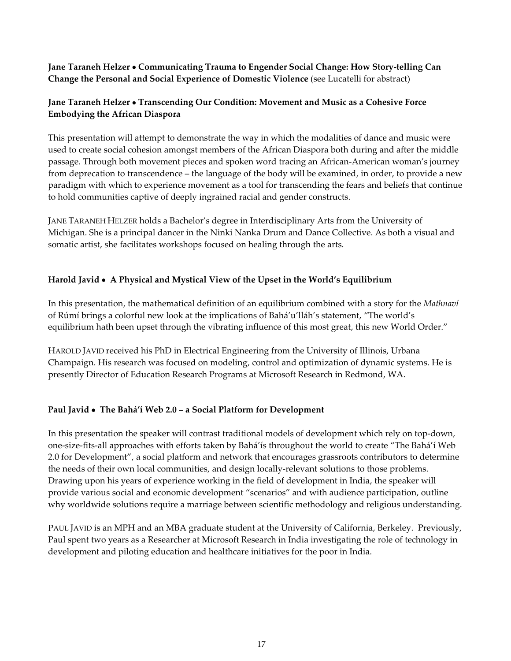**Jane Taraneh Helzer** • **Communicating Trauma to Engender Social Change: How Story‐telling Can Change the Personal and Social Experience of Domestic Violence** (see Lucatelli for abstract)

## **Jane Taraneh Helzer** • **Transcending Our Condition: Movement and Music as a Cohesive Force Embodying the African Diaspora**

This presentation will attempt to demonstrate the way in which the modalities of dance and music were used to create social cohesion amongst members of the African Diaspora both during and after the middle passage. Through both movement pieces and spoken word tracing an African‐American woman's journey from deprecation to transcendence – the language of the body will be examined, in order, to provide a new paradigm with which to experience movement as a tool for transcending the fears and beliefs that continue to hold communities captive of deeply ingrained racial and gender constructs.

JANE TARANEH HELZER holds a Bachelor's degree in Interdisciplinary Arts from the University of Michigan. She is a principal dancer in the Ninki Nanka Drum and Dance Collective. As both a visual and somatic artist, she facilitates workshops focused on healing through the arts.

## **Harold Javid** • **A Physical and Mystical View of the Upset in the World's Equilibrium**

In this presentation, the mathematical definition of an equilibrium combined with a story for the *Mathnaví* of Rúmí brings a colorful new look at the implications of Bahá'u'lláh's statement, "The world's equilibrium hath been upset through the vibrating influence of this most great, this new World Order."

HAROLD JAVID received his PhD in Electrical Engineering from the University of Illinois, Urbana Champaign. His research was focused on modeling, control and optimization of dynamic systems. He is presently Director of Education Research Programs at Microsoft Research in Redmond, WA.

#### **Paul Javid** • **The Bahá'í Web 2.0 – a Social Platform for Development**

In this presentation the speaker will contrast traditional models of development which rely on top-down, one‐size‐fits‐all approaches with efforts taken by Bahá'ís throughout the world to create "The Bahá'í Web 2.0 for Development"' a social platform and network that encourages grassroots contributors to determine the needs of their own local communities, and design locally-relevant solutions to those problems. Drawing upon his years of experience working in the field of development in India, the speaker will provide various social and economic development "scenarios" and with audience participation, outline why worldwide solutions require a marriage between scientific methodology and religious understanding.

PAUL JAVID is an MPH and an MBA graduate student at the University of California, Berkeley. Previously, Paul spent two years as a Researcher at Microsoft Research in India investigating the role of technology in development and piloting education and healthcare initiatives for the poor in India.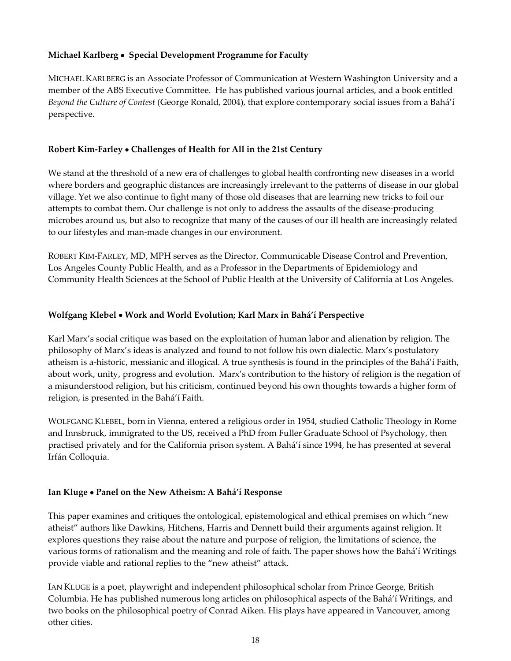## **Michael Karlberg** • **Special Development Programme for Faculty**

MICHAEL KARLBERG is an Associate Professor of Communication at Western Washington University and a member of the ABS Executive Committee. He has published various journal articles, and a book entitled *Beyond the Culture of Contest* (George Ronald, 2004), that explore contemporary social issues from a Bahá'í perspective.

### **Robert Kim‐Farley** • **Challenges of Health for All in the 21st Century**

We stand at the threshold of a new era of challenges to global health confronting new diseases in a world where borders and geographic distances are increasingly irrelevant to the patterns of disease in our global village. Yet we also continue to fight many of those old diseases that are learning new tricks to foil our attempts to combat them. Our challenge is not only to address the assaults of the disease-producing microbes around us, but also to recognize that many of the causes of our ill health are increasingly related to our lifestyles and man‐made changes in our environment.

ROBERT KIM-FARLEY, MD, MPH serves as the Director, Communicable Disease Control and Prevention, Los Angeles County Public Health, and as a Professor in the Departments of Epidemiology and Community Health Sciences at the School of Public Health at the University of California at Los Angeles.

## **Wolfgang Klebel** • **Work and World Evolution; Karl Marx in Bahá'í Perspective**

Karl Marx's social critique was based on the exploitation of human labor and alienation by religion. The philosophy of Marx's ideas is analyzed and found to not follow his own dialectic. Marx's postulatory atheism is a-historic, messianic and illogical. A true synthesis is found in the principles of the Bahá'í Faith, about work, unity, progress and evolution. Marx's contribution to the history of religion is the negation of a misunderstood religion, but his criticism, continued beyond his own thoughts towards a higher form of religion, is presented in the Bahá'í Faith.

WOLFGANG KLEBEL, born in Vienna, entered a religious order in 1954, studied Catholic Theology in Rome and Innsbruck, immigrated to the US, received a PhD from Fuller Graduate School of Psychology, then practised privately and for the California prison system. A Bahá'í since 1994, he has presented at several Irfán Colloquia.

#### **Ian Kluge** • **Panel on the New Atheism: A Bahá'í Response**

This paper examines and critiques the ontological, epistemological and ethical premises on which "new atheist" authors like Dawkins, Hitchens, Harris and Dennett build their arguments against religion. It explores questions they raise about the nature and purpose of religion, the limitations of science, the various forms of rationalism and the meaning and role of faith. The paper shows how the Bahá'í Writings provide viable and rational replies to the "new atheist" attack.

IAN KLUGE is a poet, playwright and independent philosophical scholar from Prince George, British Columbia. He has published numerous long articles on philosophical aspects of the Bahá'í Writings, and two books on the philosophical poetry of Conrad Aiken. His plays have appeared in Vancouver, among other cities.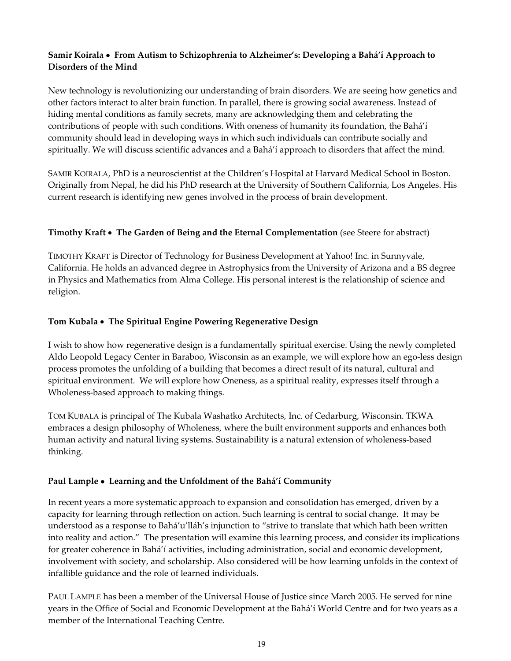## **Samir Koirala** • **From Autism to Schizophrenia to Alzheimer's: Developing a Bahá'í Approach to Disorders of the Mind**

New technology is revolutionizing our understanding of brain disorders. We are seeing how genetics and other factors interact to alter brain function. In parallel, there is growing social awareness. Instead of hiding mental conditions as family secrets, many are acknowledging them and celebrating the contributions of people with such conditions. With oneness of humanity its foundation, the Bahá'í community should lead in developing ways in which such individuals can contribute socially and spiritually. We will discuss scientific advances and a Bahá'í approach to disorders that affect the mind.

SAMIR KOIRALA, PhD is a neuroscientist at the Children's Hospital at Harvard Medical School in Boston. Originally from Nepal' he did his PhD research at the University of Southern California, Los Angeles. His current research is identifying new genes involved in the process of brain development.

## **Timothy Kraft** • **The Garden of Being and the Eternal Complementation** (see Steere for abstract)

TIMOTHY KRAFT is Director of Technology for Business Development at Yahoo! Inc. in Sunnyvale' California. He holds an advanced degree in Astrophysics from the University of Arizona and a BS degree in Physics and Mathematics from Alma College. His personal interest is the relationship of science and religion.

## **Tom Kubala** • **The Spiritual Engine Powering Regenerative Design**

I wish to show how regenerative design is a fundamentally spiritual exercise. Using the newly completed Aldo Leopold Legacy Center in Baraboo, Wisconsin as an example, we will explore how an ego-less design process promotes the unfolding of a building that becomes a direct result of its natural, cultural and spiritual environment. We will explore how Oneness, as a spiritual reality, expresses itself through a Wholeness‐based approach to making things.

TOM KUBALA is principal of The Kubala Washatko Architects, Inc. of Cedarburg, Wisconsin. TKWA embraces a design philosophy of Wholeness, where the built environment supports and enhances both human activity and natural living systems. Sustainability is a natural extension of wholeness-based thinking.

#### **Paul Lample** • **Learning and the Unfoldment of the Bahá'í Community**

In recent years a more systematic approach to expansion and consolidation has emerged, driven by a capacity for learning through reflection on action. Such learning is central to social change. It may be understood as a response to Bahá'u'lláh's injunction to "strive to translate that which hath been written into reality and action." The presentation will examine this learning process, and consider its implications for greater coherence in Bahá'í activities, including administration, social and economic development, involvement with society, and scholarship. Also considered will be how learning unfolds in the context of infallible guidance and the role of learned individuals.

PAUL LAMPLE has been a member of the Universal House of Justice since March 2005. He served for nine years in the Office of Social and Economic Development at the Bahá'í World Centre and for two years as a member of the International Teaching Centre.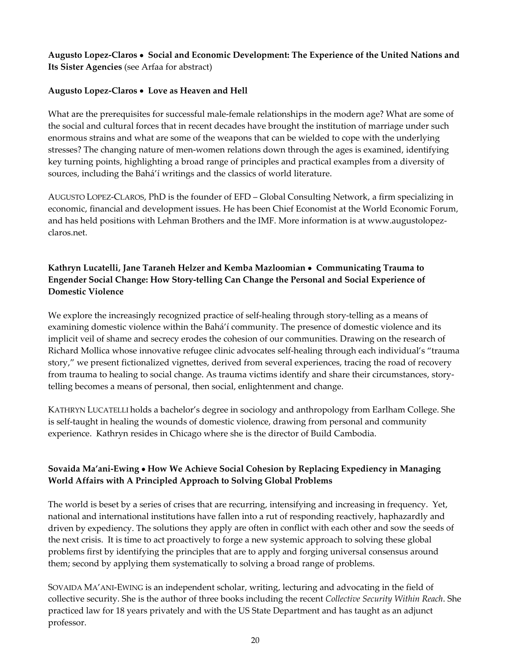**Augusto Lopez‐Claros** • **Social and Economic Development: The Experience of the United Nations and Its Sister Agencies** (see Arfaa for abstract)

#### **Augusto Lopez‐Claros** • **Love as Heaven and Hell**

What are the prerequisites for successful male-female relationships in the modern age? What are some of the social and cultural forces that in recent decades have brought the institution of marriage under such enormous strains and what are some of the weapons that can be wielded to cope with the underlying stresses? The changing nature of men-women relations down through the ages is examined, identifying key turning points, highlighting a broad range of principles and practical examples from a diversity of sources, including the Bahá'í writings and the classics of world literature.

AUGUSTO LOPEZ-CLAROS, PhD is the founder of EFD – Global Consulting Network, a firm specializing in economic, financial and development issues. He has been Chief Economist at the World Economic Forum, and has held positions with Lehman Brothers and the IMF. More information is at www.augustolopezclaros.net.

## **Kathryn Lucatelli' Jane Taraneh Helzer and Kemba Mazloomian** • **Communicating Trauma to Engender Social Change: How Story‐telling Can Change the Personal and Social Experience of Domestic Violence**

We explore the increasingly recognized practice of self-healing through story-telling as a means of examining domestic violence within the Bahá'í community. The presence of domestic violence and its implicit veil of shame and secrecy erodes the cohesion of our communities. Drawing on the research of Richard Mollica whose innovative refugee clinic advocates self‐healing through each individual's "trauma story," we present fictionalized vignettes, derived from several experiences, tracing the road of recovery from trauma to healing to social change. As trauma victims identify and share their circumstances, storytelling becomes a means of personal, then social, enlightenment and change.

KATHRYN LUCATELLI holds a bachelor's degree in sociology and anthropology from Earlham College. She is self-taught in healing the wounds of domestic violence, drawing from personal and community experience. Kathryn resides in Chicago where she is the director of Build Cambodia.

## **Sovaida Ma'ani‐Ewing** • **How We Achieve Social Cohesion by Replacing Expediency in Managing World Affairs with A Principled Approach to Solving Global Problems**

The world is beset by a series of crises that are recurring, intensifying and increasing in frequency. Yet, national and international institutions have fallen into a rut of responding reactively, haphazardly and driven by expediency. The solutions they apply are often in conflict with each other and sow the seeds of the next crisis. It is time to act proactively to forge a new systemic approach to solving these global problems first by identifying the principles that are to apply and forging universal consensus around them; second by applying them systematically to solving a broad range of problems.

SOVAIDA MA'ANI-EWING is an independent scholar, writing, lecturing and advocating in the field of collective security. She is the author of three books including the recent *Collective Security Within Reach*. She practiced law for 18 years privately and with the US State Department and has taught as an adjunct professor.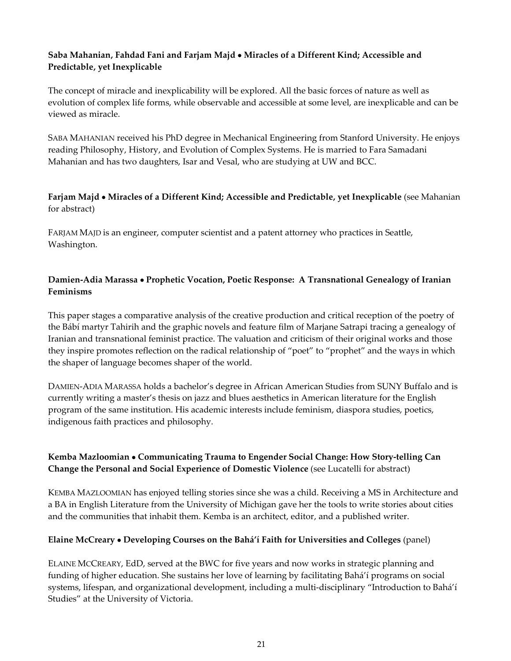## **Saba Mahanian' Fahdad Fani and Farjam Majd** • **Miracles of a Different Kind; Accessible and Predictable' yet Inexplicable**

The concept of miracle and inexplicability will be explored. All the basic forces of nature as well as evolution of complex life forms, while observable and accessible at some level, are inexplicable and can be viewed as miracle.

SABA MAHANIAN received his PhD degree in Mechanical Engineering from Stanford University. He enjoys reading Philosophy, History, and Evolution of Complex Systems. He is married to Fara Samadani Mahanian and has two daughters, Isar and Vesal, who are studying at UW and BCC.

## **Farjam Majd** • **Miracles of a Different Kind; Accessible and Predictable' yet Inexplicable** (see Mahanian for abstract)

FARJAM MAJD is an engineer, computer scientist and a patent attorney who practices in Seattle, Washington.

## **Damien‐Adia Marassa** • **Prophetic Vocation, Poetic Response: A Transnational Genealogy of Iranian Feminisms**

This paper stages a comparative analysis of the creative production and critical reception of the poetry of the Bábí martyr Tahirih and the graphic novels and feature film of Marjane Satrapi tracing a genealogy of Iranian and transnational feminist practice. The valuation and criticism of their original works and those they inspire promotes reflection on the radical relationship of "poet" to "prophet" and the ways in which the shaper of language becomes shaper of the world.

DAMIEN‐ADIA MARASSA holds a bachelor's degree in African American Studies from SUNY Buffalo and is currently writing a master's thesis on jazz and blues aesthetics in American literature for the English program of the same institution. His academic interests include feminism, diaspora studies, poetics, indigenous faith practices and philosophy.

## **Kemba Mazloomian** • **Communicating Trauma to Engender Social Change: How Story‐telling Can Change the Personal and Social Experience of Domestic Violence** (see Lucatelli for abstract)

KEMBA MAZLOOMIAN has enjoyed telling stories since she was a child. Receiving a MS in Architecture and a BA in English Literature from the University of Michigan gave her the tools to write stories about cities and the communities that inhabit them. Kemba is an architect, editor, and a published writer.

#### **Elaine McCreary** • **Developing Courses on the Bahá'í Faith for Universities and Colleges** (panel)

ELAINE MCCREARY, EdD, served at the BWC for five years and now works in strategic planning and funding of higher education. She sustains her love of learning by facilitating Bahá'í programs on social systems, lifespan, and organizational development, including a multi-disciplinary "Introduction to Bahá'í Studies" at the University of Victoria.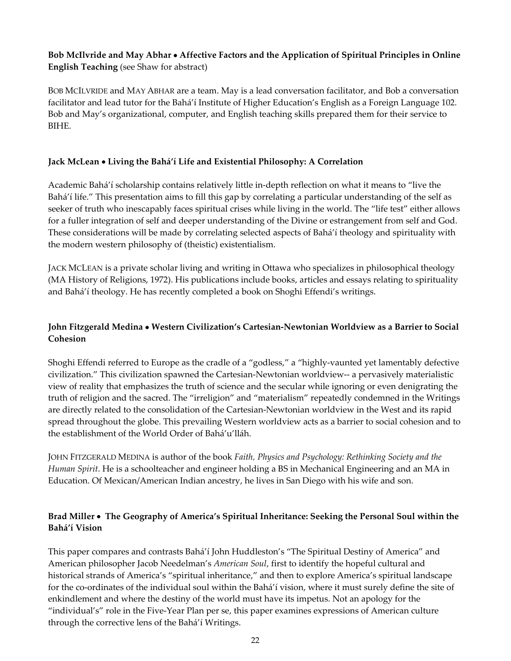## **Bob McIlvride and May Abhar** • **Affective Factors and the Application of Spiritual Principles in Online English Teaching** (see Shaw for abstract)

BOB MCILVRIDE and MAY ABHAR are a team. May is a lead conversation facilitator, and Bob a conversation facilitator and lead tutor for the Bahá'í Institute of Higher Education's English as a Foreign Language 102. Bob and May's organizational, computer, and English teaching skills prepared them for their service to BIHE.

#### **Jack McLean** • **Living the Bahá'í Life and Existential Philosophy: A Correlation**

Academic Bahá'í scholarship contains relatively little in‐depth reflection on what it means to "live the Bahá'í life." This presentation aims to fill this gap by correlating a particular understanding of the self as seeker of truth who inescapably faces spiritual crises while living in the world. The "life test" either allows for a fuller integration of self and deeper understanding of the Divine or estrangement from self and God. These considerations will be made by correlating selected aspects of Bahá'í theology and spirituality with the modern western philosophy of (theistic) existentialism.

JACK MCLEAN is a private scholar living and writing in Ottawa who specializes in philosophical theology (MA History of Religions, 1972). His publications include books, articles and essays relating to spirituality and Bahá'í theology. He has recently completed a book on Shoghi Effendi's writings.

## **John Fitzgerald Medina** • **Western Civilization's Cartesian‐Newtonian Worldview as a Barrier to Social Cohesion**

Shoghi Effendi referred to Europe as the cradle of a "godless," a "highly-vaunted yet lamentably defective civilization." This civilization spawned the Cartesian‐Newtonian worldview‐‐ a pervasively materialistic view of reality that emphasizes the truth of science and the secular while ignoring or even denigrating the truth of religion and the sacred. The "irreligion" and "materialism" repeatedly condemned in the Writings are directly related to the consolidation of the Cartesian‐Newtonian worldview in the West and its rapid spread throughout the globe. This prevailing Western worldview acts as a barrier to social cohesion and to the establishment of the World Order of Bahá'u'lláh.

JOHN FITZGERALD MEDINA is author of the book *Faith' Physics and Psychology: Rethinking Society and the Human Spirit*. He is a schoolteacher and engineer holding a BS in Mechanical Engineering and an MA in Education. Of Mexican/American Indian ancestry, he lives in San Diego with his wife and son.

## **Brad Miller** • **The Geography of America's Spiritual Inheritance: Seeking the Personal Soul within the Bahá'í Vision**

This paper compares and contrasts Bahá'í John Huddleston's "The Spiritual Destiny of America" and American philosopher Jacob Needelman's *American Soul*' first to identify the hopeful cultural and historical strands of America's "spiritual inheritance," and then to explore America's spiritual landscape for the co-ordinates of the individual soul within the Bahá'í vision, where it must surely define the site of enkindlement and where the destiny of the world must have its impetus. Not an apology for the "individual's" role in the Five-Year Plan per se, this paper examines expressions of American culture through the corrective lens of the Bahá'í Writings.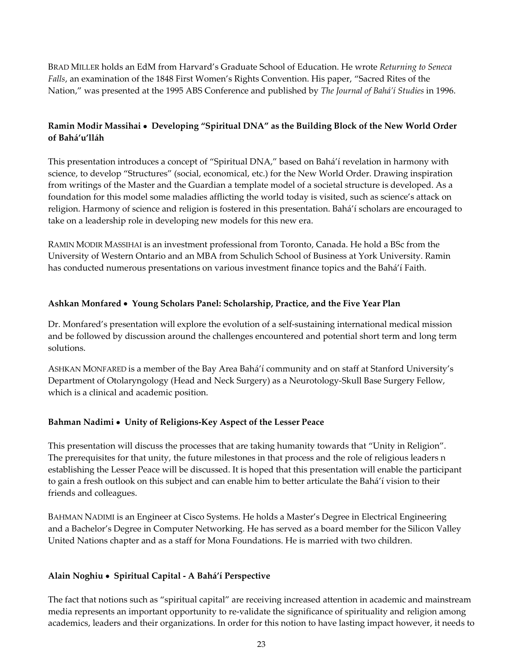BRAD MILLER holds an EdM from Harvard's Graduate School of Education. He wrote *Returning to Seneca Falls*, an examination of the 1848 First Women's Rights Convention. His paper, "Sacred Rites of the Nation'" was presented at the 1995 ABS Conference and published by *The Journal of Bahá'í Studies* in 1996.

## **Ramin Modir Massihai** • **Developing "Spiritual DNA" as the Building Block of the New World Order of Bahá'u'lláh**

This presentation introduces a concept of "Spiritual DNA," based on Bahá'í revelation in harmony with science, to develop "Structures" (social, economical, etc.) for the New World Order. Drawing inspiration from writings of the Master and the Guardian a template model of a societal structure is developed. As a foundation for this model some maladies afflicting the world today is visited, such as science's attack on religion. Harmony of science and religion is fostered in this presentation. Bahá'í scholars are encouraged to take on a leadership role in developing new models for this new era.

RAMIN MODIR MASSIHAI is an investment professional from Toronto, Canada. He hold a BSc from the University of Western Ontario and an MBA from Schulich School of Business at York University. Ramin has conducted numerous presentations on various investment finance topics and the Bahá'í Faith.

#### **Ashkan Monfared** • **Young Scholars Panel: Scholarship, Practice, and the Five Year Plan**

Dr. Monfared's presentation will explore the evolution of a self-sustaining international medical mission and be followed by discussion around the challenges encountered and potential short term and long term solutions.

ASHKAN MONFARED is a member of the Bay Area Bahá'í community and on staff at Stanford University's Department of Otolaryngology (Head and Neck Surgery) as a Neurotology‐Skull Base Surgery Fellow, which is a clinical and academic position.

#### **Bahman Nadimi** • **Unity of Religions‐Key Aspect of the Lesser Peace**

This presentation will discuss the processes that are taking humanity towards that "Unity in Religion". The prerequisites for that unity, the future milestones in that process and the role of religious leaders n establishing the Lesser Peace will be discussed. It is hoped that this presentation will enable the participant to gain a fresh outlook on this subject and can enable him to better articulate the Bahá'í vision to their friends and colleagues.

BAHMAN NADIMI is an Engineer at Cisco Systems. He holds a Master's Degree in Electrical Engineering and a Bachelor's Degree in Computer Networking. He has served as a board member for the Silicon Valley United Nations chapter and as a staff for Mona Foundations. He is married with two children.

#### **Alain Noghiu** • **Spiritual Capital ‐ A Bahá'í Perspective**

The fact that notions such as "spiritual capital" are receiving increased attention in academic and mainstream media represents an important opportunity to re-validate the significance of spirituality and religion among academics, leaders and their organizations. In order for this notion to have lasting impact however, it needs to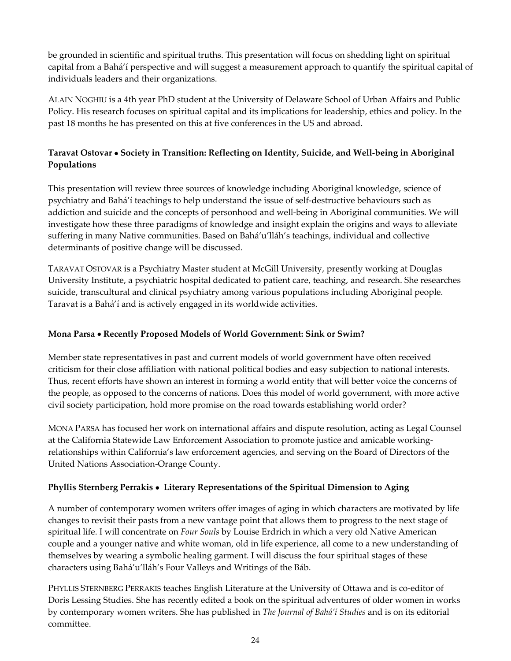be grounded in scientific and spiritual truths. This presentation will focus on shedding light on spiritual capital from a Bahá'í perspective and will suggest a measurement approach to quantify the spiritual capital of individuals leaders and their organizations.

ALAIN NOGHIU is a 4th year PhD student at the University of Delaware School of Urban Affairs and Public Policy. His research focuses on spiritual capital and its implications for leadership, ethics and policy. In the past 18 months he has presented on this at five conferences in the US and abroad.

## **Taravat Ostovar** • **Society in Transition: Reflecting on Identity' Suicide' and Well‐being in Aboriginal Populations**

This presentation will review three sources of knowledge including Aboriginal knowledge, science of psychiatry and Bahá'í teachings to help understand the issue of self‐destructive behaviours such as addiction and suicide and the concepts of personhood and well‐being in Aboriginal communities. We will investigate how these three paradigms of knowledge and insight explain the origins and ways to alleviate suffering in many Native communities. Based on Bahá'u'lláh's teachings, individual and collective determinants of positive change will be discussed.

TARAVAT OSTOVAR is a Psychiatry Master student at McGill University' presently working at Douglas University Institute, a psychiatric hospital dedicated to patient care, teaching, and research. She researches suicide, transcultural and clinical psychiatry among various populations including Aboriginal people. Taravat is a Bahá'í and is actively engaged in its worldwide activities.

## **Mona Parsa** • **Recently Proposed Models of World Government: Sink or Swim?**

Member state representatives in past and current models of world government have often received criticism for their close affiliation with national political bodies and easy subjection to national interests. Thus, recent efforts have shown an interest in forming a world entity that will better voice the concerns of the people, as opposed to the concerns of nations. Does this model of world government, with more active civil society participation, hold more promise on the road towards establishing world order?

MONA PARSA has focused her work on international affairs and dispute resolution, acting as Legal Counsel at the California Statewide Law Enforcement Association to promote justice and amicable working‐ relationships within California's law enforcement agencies, and serving on the Board of Directors of the United Nations Association‐Orange County.

## **Phyllis Sternberg Perrakis** • **Literary Representations of the Spiritual Dimension to Aging**

A number of contemporary women writers offer images of aging in which characters are motivated by life changes to revisit their pasts from a new vantage point that allows them to progress to the next stage of spiritual life. I will concentrate on *Four Souls* by Louise Erdrich in which a very old Native American couple and a younger native and white woman, old in life experience, all come to a new understanding of themselves by wearing a symbolic healing garment. I will discuss the four spiritual stages of these characters using Bahá'u'lláh's Four Valleys and Writings of the Báb.

PHYLLIS STERNBERG PERRAKIS teaches English Literature at the University of Ottawa and is co-editor of Doris Lessing Studies. She has recently edited a book on the spiritual adventures of older women in works by contemporary women writers. She has published in *The Journal of Bahá'í Studies* and is on its editorial committee.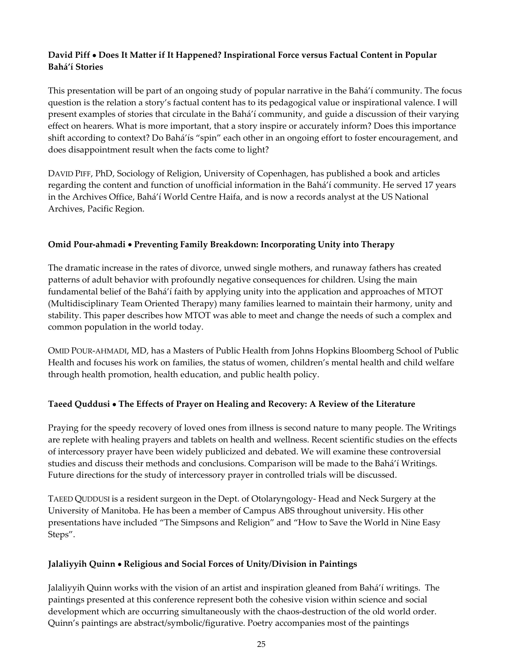## **David Piff** • **Does It Matter if It Happened? Inspirational Force versus Factual Content in Popular Bahá'í Stories**

This presentation will be part of an ongoing study of popular narrative in the Bahá'í community. The focus question is the relation a story's factual content has to its pedagogical value or inspirational valence. I will present examples of stories that circulate in the Bahá'í community, and guide a discussion of their varying effect on hearers. What is more important, that a story inspire or accurately inform? Does this importance shift according to context? Do Bahá'ís "spin" each other in an ongoing effort to foster encouragement, and does disappointment result when the facts come to light?

DAVID PIFF, PhD, Sociology of Religion, University of Copenhagen, has published a book and articles regarding the content and function of unofficial information in the Bahá'í community. He served 17 years in the Archives Office, Bahá'í World Centre Haifa, and is now a records analyst at the US National Archives, Pacific Region.

#### **Omid Pour‐ahmadi** • **Preventing Family Breakdown: Incorporating Unity into Therapy**

The dramatic increase in the rates of divorce, unwed single mothers, and runaway fathers has created patterns of adult behavior with profoundly negative consequences for children. Using the main fundamental belief of the Bahá'í faith by applying unity into the application and approaches of MTOT (Multidisciplinary Team Oriented Therapy) many families learned to maintain their harmony, unity and stability. This paper describes how MTOT was able to meet and change the needs of such a complex and common population in the world today.

OMID POUR-AHMADI, MD, has a Masters of Public Health from Johns Hopkins Bloomberg School of Public Health and focuses his work on families, the status of women, children's mental health and child welfare through health promotion, health education, and public health policy.

## **Taeed Quddusi** • **The Effects of Prayer on Healing and Recovery: A Review of the Literature**

Praying for the speedy recovery of loved ones from illness is second nature to many people. The Writings are replete with healing prayers and tablets on health and wellness. Recent scientific studies on the effects of intercessory prayer have been widely publicized and debated. We will examine these controversial studies and discuss their methods and conclusions. Comparison will be made to the Bahá'í Writings. Future directions for the study of intercessory prayer in controlled trials will be discussed.

TAEED QUDDUSI is a resident surgeon in the Dept. of Otolaryngology‐ Head and Neck Surgery at the University of Manitoba. He has been a member of Campus ABS throughout university. His other presentations have included "The Simpsons and Religion" and "How to Save the World in Nine Easy Steps".

#### **Jalaliyyih Quinn** • **Religious and Social Forces of Unity/Division in Paintings**

Jalaliyyih Quinn works with the vision of an artist and inspiration gleaned from Bahá'í writings. The paintings presented at this conference represent both the cohesive vision within science and social development which are occurring simultaneously with the chaos-destruction of the old world order. Quinn's paintings are abstract/symbolic/figurative. Poetry accompanies most of the paintings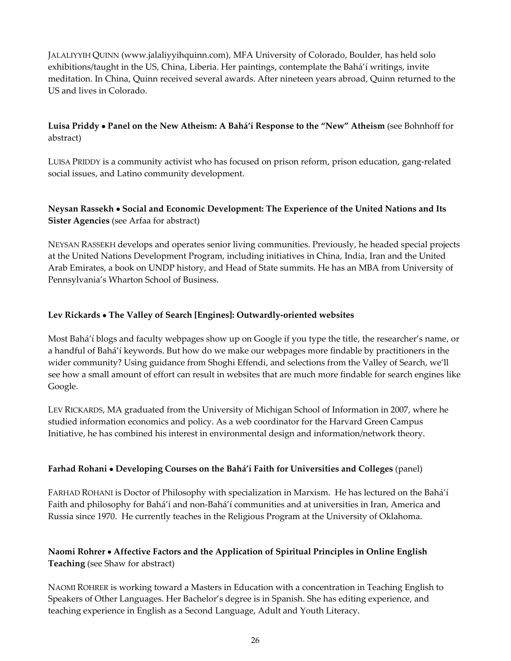JALALIYYIH QUINN (www.jalaliyyihquinn.com), MFA University of Colorado, Boulder, has held solo exhibitions/taught in the US, China, Liberia. Her paintings, contemplate the Bahá'í writings, invite meditation. In China, Quinn received several awards. After nineteen years abroad, Quinn returned to the US and lives in Colorado.

## **Luisa Priddy** • **Panel on the New Atheism: A Bahá'í Response to the "New" Atheism** (see Bohnhoff for abstract)

LUISA PRIDDY is a community activist who has focused on prison reform, prison education, gang-related social issues, and Latino community development.

## **Neysan Rassekh** • **Social and Economic Development: The Experience of the United Nations and Its Sister Agencies** (see Arfaa for abstract)

NEYSAN RASSEKH develops and operates senior living communities. Previously' he headed special projects at the United Nations Development Program, including initiatives in China, India, Iran and the United Arab Emirates, a book on UNDP history, and Head of State summits. He has an MBA from University of Pennsylvania's Wharton School of Business.

#### **Lev Rickards** • **The Valley of Search [Engines]: Outwardly‐oriented websites**

Most Bahá'í blogs and faculty webpages show up on Google if you type the title, the researcher's name, or a handful of Bahá'í keywords. But how do we make our webpages more findable by practitioners in the wider community? Using guidance from Shoghi Effendi, and selections from the Valley of Search, we'll see how a small amount of effort can result in websites that are much more findable for search engines like Google.

LEV RICKARDS, MA graduated from the University of Michigan School of Information in 2007, where he studied information economics and policy. As a web coordinator for the Harvard Green Campus Initiative, he has combined his interest in environmental design and information/network theory.

#### **Farhad Rohani** • **Developing Courses on the Bahá'í Faith for Universities and Colleges** (panel)

FARHAD ROHANI is Doctor of Philosophy with specialization in Marxism. He has lectured on the Bahá'í Faith and philosophy for Bahá'í and non‐Bahá'í communities and at universities in Iran, America and Russia since 1970. He currently teaches in the Religious Program at the University of Oklahoma.

## **Naomi Rohrer** • **Affective Factors and the Application of Spiritual Principles in Online English Teaching** (see Shaw for abstract)

NAOMI ROHRER is working toward a Masters in Education with a concentration in Teaching English to Speakers of Other Languages. Her Bachelor's degree is in Spanish. She has editing experience, and teaching experience in English as a Second Language, Adult and Youth Literacy.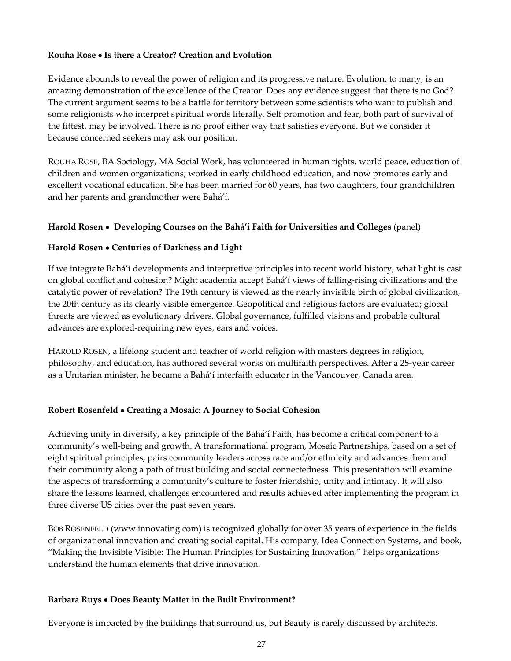#### **Rouha Rose** • **Is there a Creator? Creation and Evolution**

Evidence abounds to reveal the power of religion and its progressive nature. Evolution, to many, is an amazing demonstration of the excellence of the Creator. Does any evidence suggest that there is no God? The current argument seems to be a battle for territory between some scientists who want to publish and some religionists who interpret spiritual words literally. Self promotion and fear, both part of survival of the fittest, may be involved. There is no proof either way that satisfies everyone. But we consider it because concerned seekers may ask our position.

ROUHA ROSE, BA Sociology, MA Social Work, has volunteered in human rights, world peace, education of children and women organizations; worked in early childhood education, and now promotes early and excellent vocational education. She has been married for 60 years, has two daughters, four grandchildren and her parents and grandmother were Bahá'í.

#### **Harold Rosen** • **Developing Courses on the Bahá'í Faith for Universities and Colleges** (panel)

#### **Harold Rosen** • **Centuries of Darkness and Light**

If we integrate Bahá'í developments and interpretive principles into recent world history, what light is cast on global conflict and cohesion? Might academia accept Bahá'í views of falling‐rising civilizations and the catalytic power of revelation? The 19th century is viewed as the nearly invisible birth of global civilization, the 20th century as its clearly visible emergence. Geopolitical and religious factors are evaluated; global threats are viewed as evolutionary drivers. Global governance, fulfilled visions and probable cultural advances are explored-requiring new eyes, ears and voices.

HAROLD ROSEN, a lifelong student and teacher of world religion with masters degrees in religion, philosophy, and education, has authored several works on multifaith perspectives. After a 25-year career as a Unitarian minister, he became a Bahá'í interfaith educator in the Vancouver, Canada area.

#### **Robert Rosenfeld** • **Creating a Mosaic: A Journey to Social Cohesion**

Achieving unity in diversity, a key principle of the Bahá'í Faith, has become a critical component to a community's well-being and growth. A transformational program, Mosaic Partnerships, based on a set of eight spiritual principles, pairs community leaders across race and/or ethnicity and advances them and their community along a path of trust building and social connectedness. This presentation will examine the aspects of transforming a community's culture to foster friendship, unity and intimacy. It will also share the lessons learned, challenges encountered and results achieved after implementing the program in three diverse US cities over the past seven years.

BOB ROSENFELD (www.innovating.com) is recognized globally for over 35 years of experience in the fields of organizational innovation and creating social capital. His company, Idea Connection Systems, and book, "Making the Invisible Visible: The Human Principles for Sustaining Innovation," helps organizations understand the human elements that drive innovation.

#### **Barbara Ruys** • **Does Beauty Matter in the Built Environment?**

Everyone is impacted by the buildings that surround us, but Beauty is rarely discussed by architects.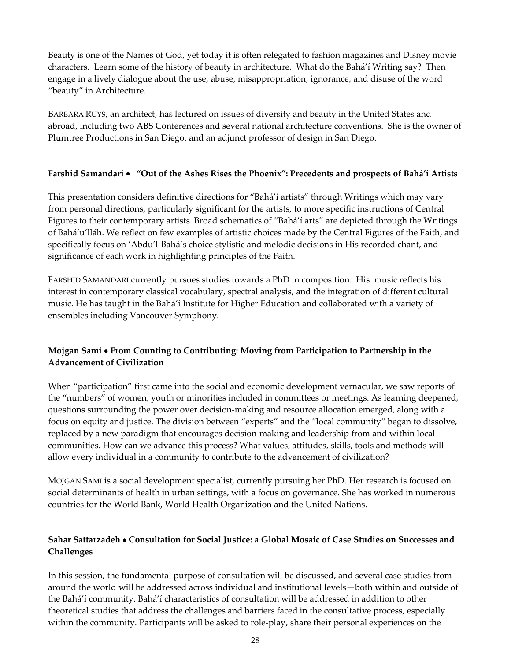Beauty is one of the Names of God, yet today it is often relegated to fashion magazines and Disney movie characters. Learn some of the history of beauty in architecture. What do the Bahá'í Writing say? Then engage in a lively dialogue about the use, abuse, misappropriation, ignorance, and disuse of the word "beauty" in Architecture.

BARBARA RUYS, an architect, has lectured on issues of diversity and beauty in the United States and abroad, including two ABS Conferences and several national architecture conventions. She is the owner of Plumtree Productions in San Diego, and an adjunct professor of design in San Diego.

#### **Farshid Samandari** • **"Out of the Ashes Rises the Phoenix": Precedents and prospects of Bahá'í Artists**

This presentation considers definitive directions for "Bahá'í artists" through Writings which may vary from personal directions, particularly significant for the artists, to more specific instructions of Central Figures to their contemporary artists. Broad schematics of "Bahá'í arts" are depicted through the Writings of Bahá'u'lláh. We reflect on few examples of artistic choices made by the Central Figures of the Faith' and specifically focus on 'Abdu'l-Bahá's choice stylistic and melodic decisions in His recorded chant, and significance of each work in highlighting principles of the Faith.

FARSHID SAMANDARI currently pursues studies towards a PhD in composition. His music reflects his interest in contemporary classical vocabulary, spectral analysis, and the integration of different cultural music. He has taught in the Bahá'í Institute for Higher Education and collaborated with a variety of ensembles including Vancouver Symphony.

## **Mojgan Sami** • **From Counting to Contributing: Moving from Participation to Partnership in the Advancement of Civilization**

When "participation" first came into the social and economic development vernacular, we saw reports of the "numbers" of women, youth or minorities included in committees or meetings. As learning deepened, questions surrounding the power over decision‐making and resource allocation emerged, along with a focus on equity and justice. The division between "experts" and the "local community" began to dissolve, replaced by a new paradigm that encourages decision‐making and leadership from and within local communities. How can we advance this process? What values, attitudes, skills, tools and methods will allow every individual in a community to contribute to the advancement of civilization?

MOJGAN SAMI is a social development specialist, currently pursuing her PhD. Her research is focused on social determinants of health in urban settings, with a focus on governance. She has worked in numerous countries for the World Bank, World Health Organization and the United Nations.

## **Sahar Sattarzadeh** • **Consultation for Social Justice: a Global Mosaic of Case Studies on Successes and Challenges**

In this session, the fundamental purpose of consultation will be discussed, and several case studies from around the world will be addressed across individual and institutional levels—both within and outside of the Bahá'í community. Bahá'í characteristics of consultation will be addressed in addition to other theoretical studies that address the challenges and barriers faced in the consultative process, especially within the community. Participants will be asked to role-play, share their personal experiences on the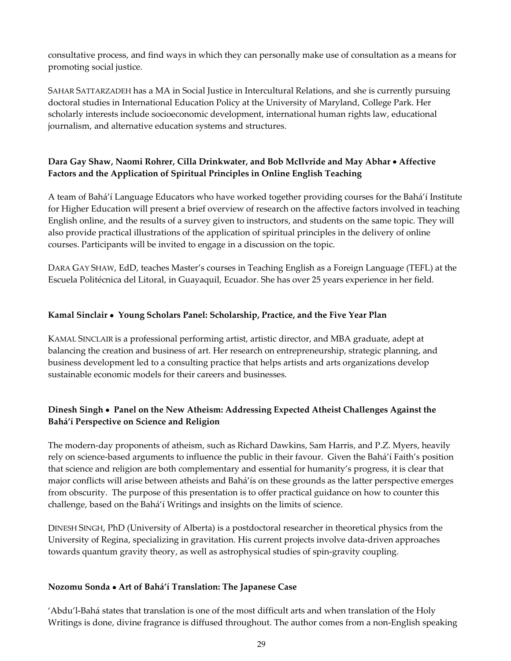consultative process, and find ways in which they can personally make use of consultation as a means for promoting social justice.

SAHAR SATTARZADEH has a MA in Social Justice in Intercultural Relations, and she is currently pursuing doctoral studies in International Education Policy at the University of Maryland, College Park. Her scholarly interests include socioeconomic development, international human rights law, educational journalism, and alternative education systems and structures.

## **Dara Gay Shaw' Naomi Rohrer' Cilla Drinkwater' and Bob McIlvride and May Abhar** • **Affective Factors and the Application of Spiritual Principles in Online English Teaching**

A team of Bahá'í Language Educators who have worked together providing courses for the Bahá'í Institute for Higher Education will present a brief overview of research on the affective factors involved in teaching English online, and the results of a survey given to instructors, and students on the same topic. They will also provide practical illustrations of the application of spiritual principles in the delivery of online courses. Participants will be invited to engage in a discussion on the topic.

DARA GAY SHAW, EdD, teaches Master's courses in Teaching English as a Foreign Language (TEFL) at the Escuela Politécnica del Litoral, in Guayaquil, Ecuador. She has over 25 years experience in her field.

## **Kamal Sinclair** • **Young Scholars Panel: Scholarship, Practice, and the Five Year Plan**

KAMAL SINCLAIR is a professional performing artist, artistic director, and MBA graduate, adept at balancing the creation and business of art. Her research on entrepreneurship, strategic planning, and business development led to a consulting practice that helps artists and arts organizations develop sustainable economic models for their careers and businesses.

## **Dinesh Singh** • **Panel on the New Atheism: Addressing Expected Atheist Challenges Against the Bahá'í Perspective on Science and Religion**

The modern-day proponents of atheism, such as Richard Dawkins, Sam Harris, and P.Z. Myers, heavily rely on science‐based arguments to influence the public in their favour. Given the Bahá'í Faith's position that science and religion are both complementary and essential for humanity's progress, it is clear that major conflicts will arise between atheists and Bahá'ís on these grounds as the latter perspective emerges from obscurity. The purpose of this presentation is to offer practical guidance on how to counter this challenge, based on the Bahá'í Writings and insights on the limits of science.

DINESH SINGH' PhD (University of Alberta) is a postdoctoral researcher in theoretical physics from the University of Regina, specializing in gravitation. His current projects involve data-driven approaches towards quantum gravity theory, as well as astrophysical studies of spin-gravity coupling.

#### **Nozomu Sonda** • **Art of Bahá'í Translation: The Japanese Case**

'Abdu'l‐Bahá states that translation is one of the most difficult arts and when translation of the Holy Writings is done, divine fragrance is diffused throughout. The author comes from a non-English speaking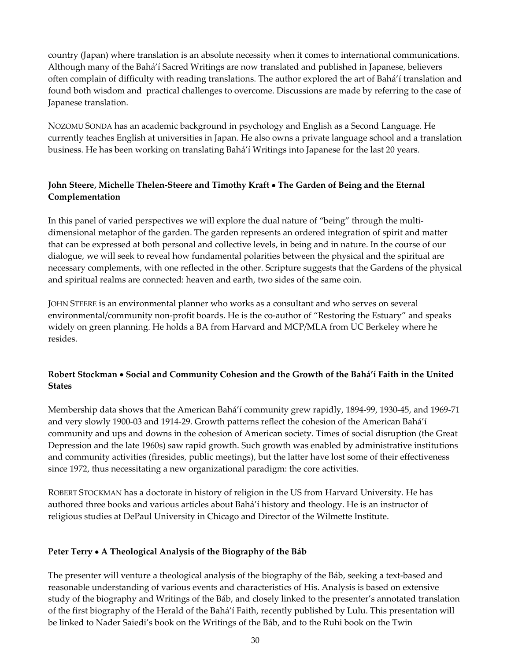country (Japan) where translation is an absolute necessity when it comes to international communications. Although many of the Bahá'í Sacred Writings are now translated and published in Japanese, believers often complain of difficulty with reading translations. The author explored the art of Bahá'í translation and found both wisdom and practical challenges to overcome. Discussions are made by referring to the case of Japanese translation.

NOZOMU SONDA has an academic background in psychology and English as a Second Language. He currently teaches English at universities in Japan. He also owns a private language school and a translation business. He has been working on translating Bahá'í Writings into Japanese for the last 20 years.

## **John Steere' Michelle Thelen‐Steere and Timothy Kraft** • **The Garden of Being and the Eternal Complementation**

In this panel of varied perspectives we will explore the dual nature of "being" through the multidimensional metaphor of the garden. The garden represents an ordered integration of spirit and matter that can be expressed at both personal and collective levels, in being and in nature. In the course of our dialogue, we will seek to reveal how fundamental polarities between the physical and the spiritual are necessary complements, with one reflected in the other. Scripture suggests that the Gardens of the physical and spiritual realms are connected: heaven and earth, two sides of the same coin.

JOHN STEERE is an environmental planner who works as a consultant and who serves on several environmental/community non-profit boards. He is the co-author of "Restoring the Estuary" and speaks widely on green planning. He holds a BA from Harvard and MCP/MLA from UC Berkeley where he resides.

## **Robert Stockman** • **Social and Community Cohesion and the Growth of the Bahá'í Faith in the United States**

Membership data shows that the American Bahá'í community grew rapidly, 1894–99, 1930–45, and 1969-71 and very slowly 1900‐03 and 1914‐29. Growth patterns reflect the cohesion of the American Bahá'í community and ups and downs in the cohesion of American society. Times of social disruption (the Great Depression and the late 1960s) saw rapid growth. Such growth was enabled by administrative institutions and community activities (firesides, public meetings), but the latter have lost some of their effectiveness since 1972, thus necessitating a new organizational paradigm: the core activities.

ROBERT STOCKMAN has a doctorate in history of religion in the US from Harvard University. He has authored three books and various articles about Bahá'í history and theology. He is an instructor of religious studies at DePaul University in Chicago and Director of the Wilmette Institute.

#### **Peter Terry** • **A Theological Analysis of the Biography of the Báb**

The presenter will venture a theological analysis of the biography of the Báb, seeking a text-based and reasonable understanding of various events and characteristics of His. Analysis is based on extensive study of the biography and Writings of the Báb, and closely linked to the presenter's annotated translation of the first biography of the Herald of the Bahá'í Faith, recently published by Lulu. This presentation will be linked to Nader Saiedi's book on the Writings of the Báb, and to the Ruhi book on the Twin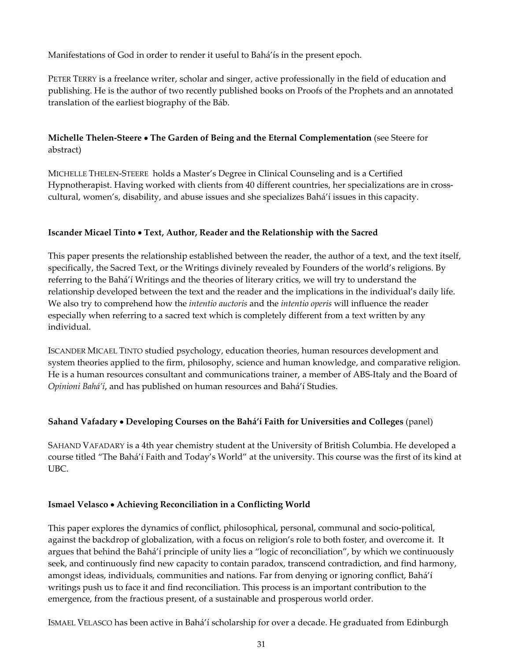Manifestations of God in order to render it useful to Bahá'ís in the present epoch.

PETER TERRY is a freelance writer, scholar and singer, active professionally in the field of education and publishing. He is the author of two recently published books on Proofs of the Prophets and an annotated translation of the earliest biography of the Báb.

## **Michelle Thelen‐Steere** • **The Garden of Being and the Eternal Complementation** (see Steere for abstract)

MICHELLE THELEN‐STEERE holds a Master's Degree in Clinical Counseling and is a Certified Hypnotherapist. Having worked with clients from 40 different countries, her specializations are in crosscultural, women's, disability, and abuse issues and she specializes Bahá'í issues in this capacity.

#### **Iscander Micael Tinto** • **Text' Author' Reader and the Relationship with the Sacred**

This paper presents the relationship established between the reader, the author of a text, and the text itself, specifically, the Sacred Text, or the Writings divinely revealed by Founders of the world's religions. By referring to the Bahá'í Writings and the theories of literary critics, we will try to understand the relationship developed between the text and the reader and the implications in the individual's daily life. We also try to comprehend how the *intentio auctoris* and the *intentio operis* will influence the reader especially when referring to a sacred text which is completely different from a text written by any individual.

ISCANDER MICAEL TINTO studied psychology, education theories, human resources development and system theories applied to the firm, philosophy, science and human knowledge, and comparative religion. He is a human resources consultant and communications trainer, a member of ABS-Italy and the Board of *Opinioni Bahá'í*' and has published on human resources and Bahá'í Studies.

#### **Sahand Vafadary** • **Developing Courses on the Bahá'í Faith for Universities and Colleges** (panel)

SAHAND VAFADARY is a 4th year chemistry student at the University of British Columbia. He developed a course titled "The Bahá'í Faith and Today's World" at the university. This course was the first of its kind at UBC.

#### **Ismael Velasco** • **Achieving Reconciliation in a Conflicting World**

This paper explores the dynamics of conflict, philosophical, personal, communal and socio‐political, against the backdrop of globalization, with a focus on religion's role to both foster, and overcome it. It argues that behind the Bahá'í principle of unity lies a "logic of reconciliation", by which we continuously seek, and continuously find new capacity to contain paradox, transcend contradiction, and find harmony, amongst ideas, individuals, communities and nations. Far from denying or ignoring conflict, Bahá'í writings push us to face it and find reconciliation. This process is an important contribution to the emergence, from the fractious present, of a sustainable and prosperous world order.

ISMAEL VELASCO has been active in Bahá'í scholarship for over a decade. He graduated from Edinburgh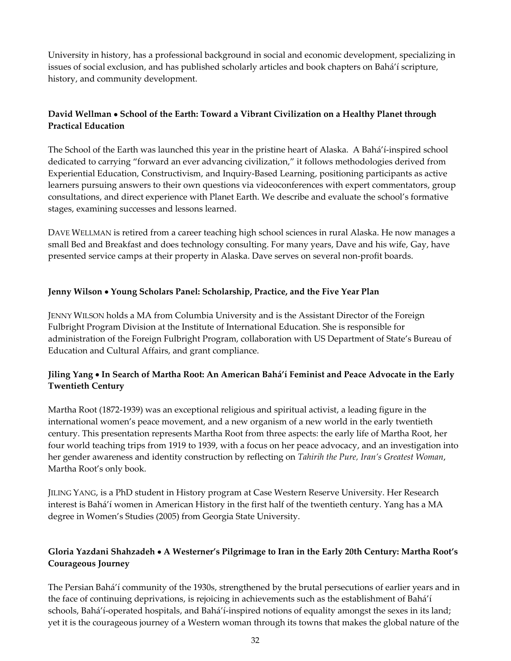University in history, has a professional background in social and economic development, specializing in issues of social exclusion, and has published scholarly articles and book chapters on Bahá'í scripture, history, and community development.

## **David Wellman** • **School of the Earth: Toward a Vibrant Civilization on a Healthy Planet through Practical Education**

The School of the Earth was launched this year in the pristine heart of Alaska. A Bahá'í‐inspired school dedicated to carrying "forward an ever advancing civilization," it follows methodologies derived from Experiential Education, Constructivism, and Inquiry-Based Learning, positioning participants as active learners pursuing answers to their own questions via videoconferences with expert commentators, group consultations, and direct experience with Planet Earth. We describe and evaluate the school's formative stages, examining successes and lessons learned.

DAVE WELLMAN is retired from a career teaching high school sciences in rural Alaska. He now manages a small Bed and Breakfast and does technology consulting. For many years, Dave and his wife, Gay, have presented service camps at their property in Alaska. Dave serves on several non-profit boards.

## **Jenny Wilson** • **Young Scholars Panel: Scholarship, Practice, and the Five Year Plan**

JENNY WILSON holds a MA from Columbia University and is the Assistant Director of the Foreign Fulbright Program Division at the Institute of International Education. She is responsible for administration of the Foreign Fulbright Program, collaboration with US Department of State's Bureau of Education and Cultural Affairs, and grant compliance.

## **Jiling Yang** • **In Search of Martha Root: An American Bahá'í Feminist and Peace Advocate in the Early Twentieth Century**

Martha Root (1872-1939) was an exceptional religious and spiritual activist, a leading figure in the international women's peace movement, and a new organism of a new world in the early twentieth century. This presentation represents Martha Root from three aspects: the early life of Martha Root, her four world teaching trips from 1919 to 1939, with a focus on her peace advocacy, and an investigation into her gender awareness and identity construction by reflecting on *Tahirih the Pure' Iran's Greatest Woman*' Martha Root's only book.

JILING YANG' is a PhD student in History program at Case Western Reserve University. Her Research interest is Bahá'í women in American History in the first half of the twentieth century. Yang has a MA degree in Women's Studies (2005) from Georgia State University.

## **Gloria Yazdani Shahzadeh** • **A Westerner's Pilgrimage to Iran in the Early 20th Century: Martha Root's Courageous Journey**

The Persian Bahá'í community of the 1930s, strengthened by the brutal persecutions of earlier years and in the face of continuing deprivations, is rejoicing in achievements such as the establishment of Bahá'í schools, Bahá'í-operated hospitals, and Bahá'í-inspired notions of equality amongst the sexes in its land; yet it is the courageous journey of a Western woman through its towns that makes the global nature of the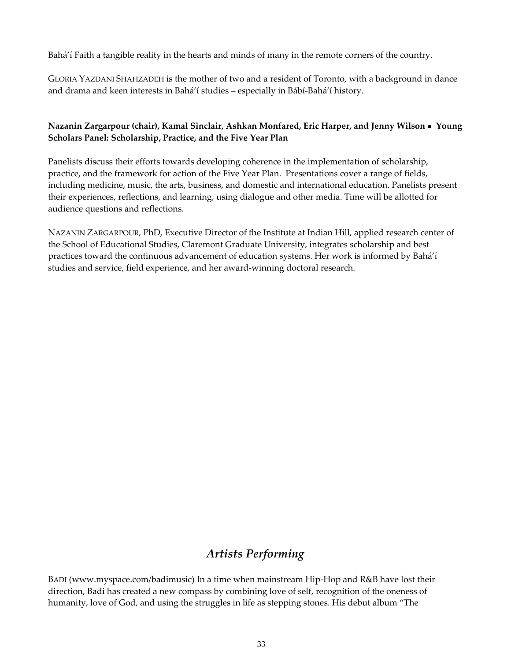Bahá'í Faith a tangible reality in the hearts and minds of many in the remote corners of the country.

GLORIA YAZDANI SHAHZADEH is the mother of two and a resident of Toronto, with a background in dance and drama and keen interests in Bahá'í studies – especially in Bábí‐Bahá'í history.

## **Nazanin Zargarpour (chair), Kamal Sinclair, Ashkan Monfared, Eric Harper, and Jenny Wilson** • **Young Scholars Panel: Scholarship, Practice, and the Five Year Plan**

Panelists discuss their efforts towards developing coherence in the implementation of scholarship, practice, and the framework for action of the Five Year Plan. Presentations cover a range of fields, including medicine, music, the arts, business, and domestic and international education. Panelists present their experiences, reflections, and learning, using dialogue and other media. Time will be allotted for audience questions and reflections.

NAZANIN ZARGARPOUR, PhD, Executive Director of the Institute at Indian Hill, applied research center of the School of Educational Studies, Claremont Graduate University, integrates scholarship and best practices toward the continuous advancement of education systems. Her work is informed by Bahá'í studies and service, field experience, and her award‐winning doctoral research.

## *Artists Performing*

BADI (www.myspace.com/badimusic) In a time when mainstream Hip‐Hop and R&B have lost their direction, Badi has created a new compass by combining love of self, recognition of the oneness of humanity, love of God, and using the struggles in life as stepping stones. His debut album "The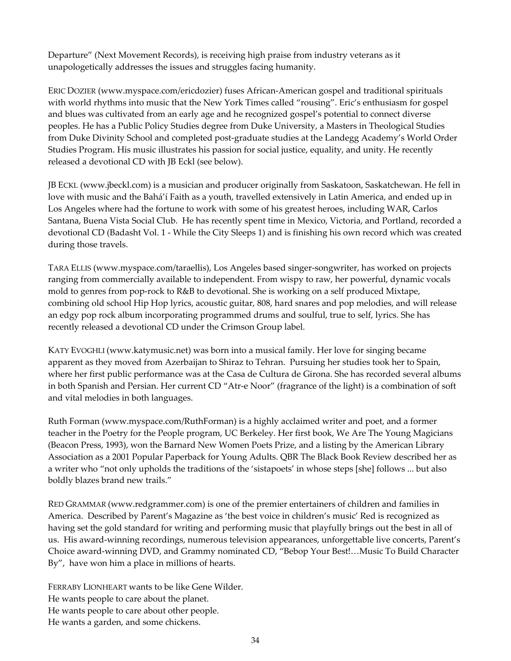Departure" (Next Movement Records), is receiving high praise from industry veterans as it unapologetically addresses the issues and struggles facing humanity.

ERIC DOZIER (www.myspace.com/ericdozier) fuses African‐American gospel and traditional spirituals with world rhythms into music that the New York Times called "rousing". Eric's enthusiasm for gospel and blues was cultivated from an early age and he recognized gospel's potential to connect diverse peoples. He has a Public Policy Studies degree from Duke University, a Masters in Theological Studies from Duke Divinity School and completed post-graduate studies at the Landegg Academy's World Order Studies Program. His music illustrates his passion for social justice, equality, and unity. He recently released a devotional CD with JB Eckl (see below).

JB ECKL (www.jbeckl.com) is a musician and producer originally from Saskatoon, Saskatchewan. He fell in love with music and the Bahá'í Faith as a youth, travelled extensively in Latin America, and ended up in Los Angeles where had the fortune to work with some of his greatest heroes, including WAR, Carlos Santana, Buena Vista Social Club. He has recently spent time in Mexico, Victoria, and Portland, recorded a devotional CD (Badasht Vol. 1 ‐ While the City Sleeps 1) and is finishing his own record which was created during those travels.

TARA ELLIS (www.myspace.com/taraellis), Los Angeles based singer‐songwriter, has worked on projects ranging from commercially available to independent. From wispy to raw, her powerful, dynamic vocals mold to genres from pop-rock to R&B to devotional. She is working on a self produced Mixtape, combining old school Hip Hop lyrics, acoustic guitar, 808, hard snares and pop melodies, and will release an edgy pop rock album incorporating programmed drums and soulful, true to self, lyrics. She has recently released a devotional CD under the Crimson Group label.

KATY EVOGHLI (www.katymusic.net) was born into a musical family. Her love for singing became apparent as they moved from Azerbaijan to Shiraz to Tehran. Pursuing her studies took her to Spain, where her first public performance was at the Casa de Cultura de Girona. She has recorded several albums in both Spanish and Persian. Her current CD "Atr-e Noor" (fragrance of the light) is a combination of soft and vital melodies in both languages.

Ruth Forman (www.myspace.com/RuthForman) is a highly acclaimed writer and poet, and a former teacher in the Poetry for the People program, UC Berkeley. Her first book, We Are The Young Magicians (Beacon Press, 1993), won the Barnard New Women Poets Prize, and a listing by the American Library Association as a 2001 Popular Paperback for Young Adults. QBR The Black Book Review described her as a writer who "not only upholds the traditions of the 'sistapoets' in whose steps [she] follows ... but also boldly blazes brand new trails."

RED GRAMMAR (www.redgrammer.com) is one of the premier entertainers of children and families in America. Described by Parent's Magazine as 'the best voice in children's music' Red is recognized as having set the gold standard for writing and performing music that playfully brings out the best in all of us. His award‐winning recordings, numerous television appearances, unforgettable live concerts, Parent's Choice award‐winning DVD, and Grammy nominated CD, "Bebop Your Best!…Music To Build Character By", have won him a place in millions of hearts.

FERRABY LIONHEART wants to be like Gene Wilder. He wants people to care about the planet. He wants people to care about other people. He wants a garden, and some chickens.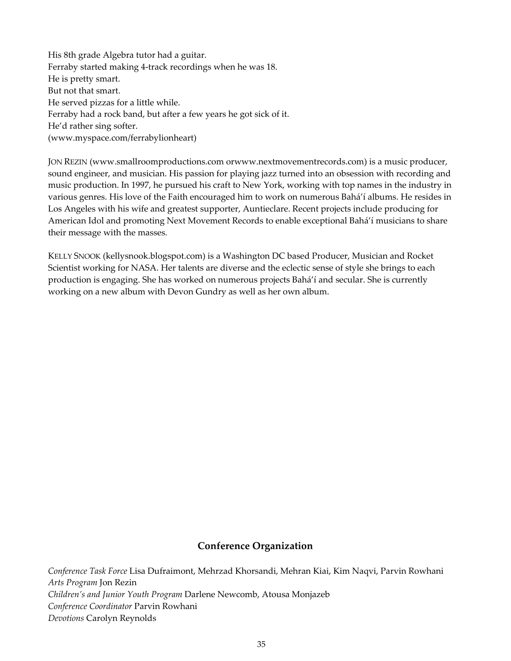His 8th grade Algebra tutor had a guitar. Ferraby started making 4‐track recordings when he was 18. He is pretty smart. But not that smart. He served pizzas for a little while. Ferraby had a rock band, but after a few years he got sick of it. He'd rather sing softer. (www.myspace.com/ferrabylionheart)

JON REZIN (www.smallroomproductions.com orwww.nextmovementrecords.com) is a music producer, sound engineer, and musician. His passion for playing jazz turned into an obsession with recording and music production. In 1997, he pursued his craft to New York, working with top names in the industry in various genres. His love of the Faith encouraged him to work on numerous Bahá'í albums. He resides in Los Angeles with his wife and greatest supporter, Auntieclare. Recent projects include producing for American Idol and promoting Next Movement Records to enable exceptional Bahá'í musicians to share their message with the masses.

KELLY SNOOK (kellysnook.blogspot.com) is a Washington DC based Producer, Musician and Rocket Scientist working for NASA. Her talents are diverse and the eclectic sense of style she brings to each production is engaging. She has worked on numerous projects Bahá'í and secular. She is currently working on a new album with Devon Gundry as well as her own album.

#### **Conference Organization**

*Conference Task Force* Lisa Dufraimont, Mehrzad Khorsandi, Mehran Kiai, Kim Naqvi, Parvin Rowhani *Arts Program* Jon Rezin *Children's and Junior Youth Program* Darlene Newcomb, Atousa Monjazeb *Conference Coordinator* Parvin Rowhani *Devotions* Carolyn Reynolds